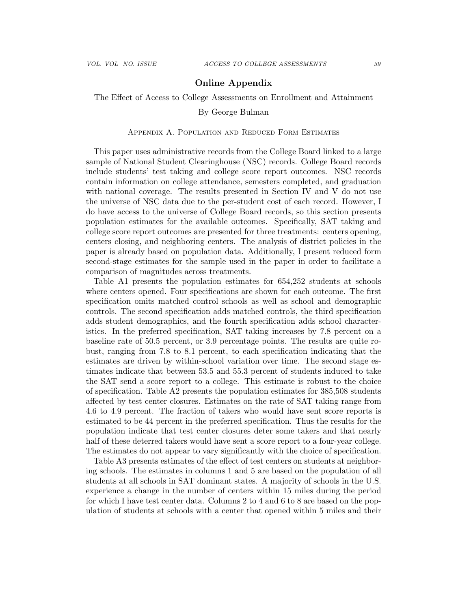# Online Appendix

The Effect of Access to College Assessments on Enrollment and Attainment

## By George Bulman

## Appendix A. Population and Reduced Form Estimates

This paper uses administrative records from the College Board linked to a large sample of National Student Clearinghouse (NSC) records. College Board records include students' test taking and college score report outcomes. NSC records contain information on college attendance, semesters completed, and graduation with national coverage. The results presented in Section IV and V do not use the universe of NSC data due to the per-student cost of each record. However, I do have access to the universe of College Board records, so this section presents population estimates for the available outcomes. Specifically, SAT taking and college score report outcomes are presented for three treatments: centers opening, centers closing, and neighboring centers. The analysis of district policies in the paper is already based on population data. Additionally, I present reduced form second-stage estimates for the sample used in the paper in order to facilitate a comparison of magnitudes across treatments.

Table A1 presents the population estimates for 654,252 students at schools where centers opened. Four specifications are shown for each outcome. The first specification omits matched control schools as well as school and demographic controls. The second specification adds matched controls, the third specification adds student demographics, and the fourth specification adds school characteristics. In the preferred specification, SAT taking increases by 7.8 percent on a baseline rate of 50.5 percent, or 3.9 percentage points. The results are quite robust, ranging from 7.8 to 8.1 percent, to each specification indicating that the estimates are driven by within-school variation over time. The second stage estimates indicate that between 53.5 and 55.3 percent of students induced to take the SAT send a score report to a college. This estimate is robust to the choice of specification. Table A2 presents the population estimates for 385,508 students affected by test center closures. Estimates on the rate of SAT taking range from 4.6 to 4.9 percent. The fraction of takers who would have sent score reports is estimated to be 44 percent in the preferred specification. Thus the results for the population indicate that test center closures deter some takers and that nearly half of these deterred takers would have sent a score report to a four-year college. The estimates do not appear to vary significantly with the choice of specification.

Table A3 presents estimates of the effect of test centers on students at neighboring schools. The estimates in columns 1 and 5 are based on the population of all students at all schools in SAT dominant states. A majority of schools in the U.S. experience a change in the number of centers within 15 miles during the period for which I have test center data. Columns 2 to 4 and 6 to 8 are based on the population of students at schools with a center that opened within 5 miles and their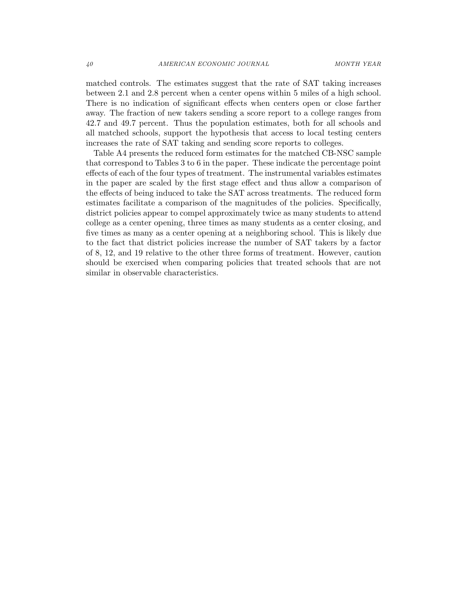matched controls. The estimates suggest that the rate of SAT taking increases between 2.1 and 2.8 percent when a center opens within 5 miles of a high school. There is no indication of significant effects when centers open or close farther away. The fraction of new takers sending a score report to a college ranges from 42.7 and 49.7 percent. Thus the population estimates, both for all schools and all matched schools, support the hypothesis that access to local testing centers increases the rate of SAT taking and sending score reports to colleges.

Table A4 presents the reduced form estimates for the matched CB-NSC sample that correspond to Tables 3 to 6 in the paper. These indicate the percentage point effects of each of the four types of treatment. The instrumental variables estimates in the paper are scaled by the first stage effect and thus allow a comparison of the effects of being induced to take the SAT across treatments. The reduced form estimates facilitate a comparison of the magnitudes of the policies. Specifically, district policies appear to compel approximately twice as many students to attend college as a center opening, three times as many students as a center closing, and five times as many as a center opening at a neighboring school. This is likely due to the fact that district policies increase the number of SAT takers by a factor of 8, 12, and 19 relative to the other three forms of treatment. However, caution should be exercised when comparing policies that treated schools that are not similar in observable characteristics.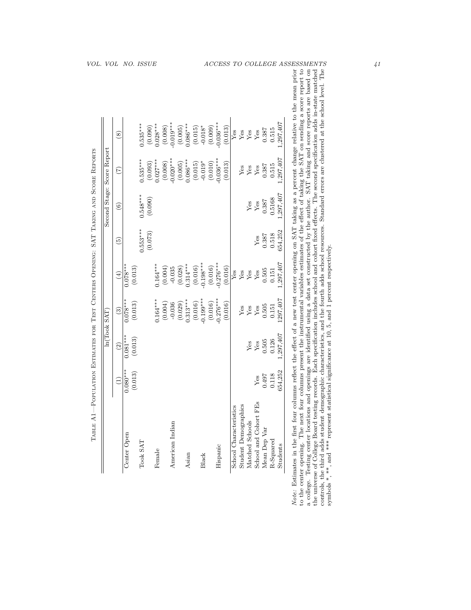| controls, the third adds student demographic characteristics, and the fourth adds school resources. Standard errors are clustered at the school level. The symbols *, **, and *** represent statistical significance at 10, 5, |
|--------------------------------------------------------------------------------------------------------------------------------------------------------------------------------------------------------------------------------|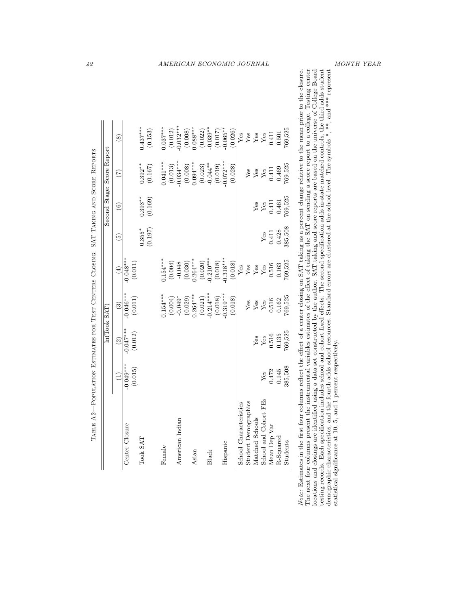|                            |                            |                        |                       |            | AMERICAN ECONOMIC JOURNAL |                       |                       |         |                        |                             |                                  |                 |                       |              |                  |                                                                                                                                                                                                                                                                                                                                                                                                                                                                                                                                                                                                                                                                                                                                                                                                                                         | MONTH YEAR                             |  |
|----------------------------|----------------------------|------------------------|-----------------------|------------|---------------------------|-----------------------|-----------------------|---------|------------------------|-----------------------------|----------------------------------|-----------------|-----------------------|--------------|------------------|-----------------------------------------------------------------------------------------------------------------------------------------------------------------------------------------------------------------------------------------------------------------------------------------------------------------------------------------------------------------------------------------------------------------------------------------------------------------------------------------------------------------------------------------------------------------------------------------------------------------------------------------------------------------------------------------------------------------------------------------------------------------------------------------------------------------------------------------|----------------------------------------|--|
|                            |                            |                        |                       |            |                           |                       |                       |         |                        |                             |                                  |                 |                       |              |                  |                                                                                                                                                                                                                                                                                                                                                                                                                                                                                                                                                                                                                                                                                                                                                                                                                                         |                                        |  |
|                            | $\circledast$              |                        | $0.437***$<br>(0.153) | $0.037***$ | $-0.032***$<br>(0.012)    | $0.088***$<br>(0.008) | $-0.039**$<br>(0.022) | (0.017) | $-0.065**$<br>(0.026)  | Yes                         | Yes                              | Yes             | ${\rm Yes}$           | 0.411        | 769,525<br>0.501 |                                                                                                                                                                                                                                                                                                                                                                                                                                                                                                                                                                                                                                                                                                                                                                                                                                         |                                        |  |
| Second Stage: Score Report | E                          |                        | $0.392**$<br>(0.167)  | $0.041***$ | $-0.034***$<br>(0.013)    | $0.094***$<br>(0.008) | $-0.044**$<br>(0.023) | (0.019) | $-0.072***$<br>(0.028) |                             | Yes                              | ${\rm Yes}$     | ${\rm Yes}$           | 0.411        | 769,525<br>0.469 |                                                                                                                                                                                                                                                                                                                                                                                                                                                                                                                                                                                                                                                                                                                                                                                                                                         |                                        |  |
|                            | $\widehat{\mathbf{e}}$     |                        | $0.393***$<br>(0.169) |            |                           |                       |                       |         |                        |                             |                                  | Yes             | ${\rm Yes}$           | 0.411        | 769,525<br>0.461 |                                                                                                                                                                                                                                                                                                                                                                                                                                                                                                                                                                                                                                                                                                                                                                                                                                         |                                        |  |
|                            | ত্ৰ                        |                        | (0.197)<br>$0.355*$   |            |                           |                       |                       |         |                        |                             |                                  |                 | Yes                   | 0.411        | 385,508<br>0.428 |                                                                                                                                                                                                                                                                                                                                                                                                                                                                                                                                                                                                                                                                                                                                                                                                                                         |                                        |  |
|                            | $\left(\frac{4}{3}\right)$ | $-0.048***$<br>(0.011) |                       | $0.154***$ | (0.004)<br>$-0.048$       | $0.264***$<br>(0.030) | $0.210***$<br>(0.020) | (0.018) | $-0.318***$<br>(0.018) | $Y$ es                      | $\mathbf{Y}\mathbf{e}\mathbf{s}$ | ${\rm Yes}$     | Yes                   | 0.516        | 769,525<br>0.163 |                                                                                                                                                                                                                                                                                                                                                                                                                                                                                                                                                                                                                                                                                                                                                                                                                                         |                                        |  |
|                            | $\widehat{3}$              | $-0.046***$<br>(0.011) |                       | $0.154***$ | $-0.049*$<br>(0.004)      | $0.264***$<br>(0.029) | $0.214***$<br>(0.021) | (0.018) | $0.319***$<br>(0.018)  |                             | ${\rm Yes}$                      | ${\rm Yes}$     | ${\rm Yes}$           | 0.516        | 769,525<br>0.162 |                                                                                                                                                                                                                                                                                                                                                                                                                                                                                                                                                                                                                                                                                                                                                                                                                                         |                                        |  |
| ln(Took SAT)               | $\widehat{c}$              | $-0.047***$<br>(0.012) |                       |            |                           |                       |                       |         |                        |                             |                                  | Yes             | Yes                   | 0.516        | 769,525<br>0.135 |                                                                                                                                                                                                                                                                                                                                                                                                                                                                                                                                                                                                                                                                                                                                                                                                                                         |                                        |  |
|                            | $\widehat{\Xi}$            | $-0.049***$<br>(0.015) |                       |            |                           |                       |                       |         |                        |                             |                                  |                 | ${\rm Yes}$           | 0.472        | 385,508<br>0.145 |                                                                                                                                                                                                                                                                                                                                                                                                                                                                                                                                                                                                                                                                                                                                                                                                                                         | 1 percent respectively.                |  |
|                            |                            | Center Closure         | Took SAT              | Female     | American Indian           | Asian                 | Black                 |         | Hispanic               | Š.<br>School Characteristic | <b>Student Demographics</b>      | Matched Schools | School and Cohort FEs | Mean Dep Var | R-Squared        | The next four columns present the instrumental variables estimates of the effect of taking the SAT on sending a score report to a college. Testing center<br>locations and closings are identified using a data set constructed by the author. SAT taking and score reports are based on the universe of College Board<br>testing records. Each specification includes school and cohort fixed effects. The second specification adds in-state matched controls, the third adds student<br>demographic characteristics, and the fourth adds school resources. Standard errors are clustered at the school level. The symbols $*, **$ , and $***$ represent<br>Note: Estimates in the first four columns reflect the effect of a center closing on SAT taking as a percent change relative to the mean prior to the closure.<br>Students | statistical significance at 10, 5, and |  |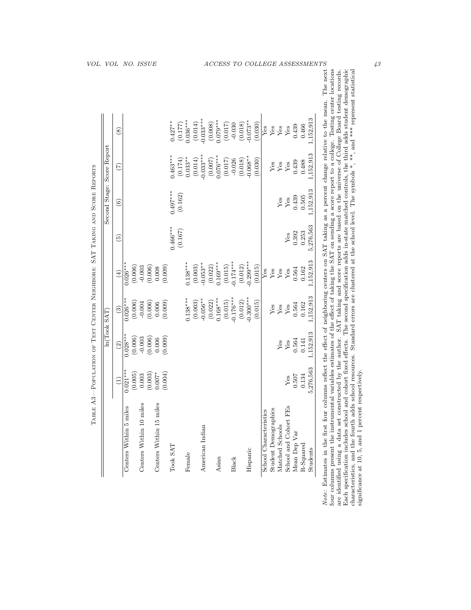| 1,152,913<br>$-0.033***$<br>$0.036***$<br>$0.079***$<br>$0.073**$<br>$0.427***$<br>(0.008)<br>(0.014)<br>(0.018)<br>(0.030)<br>(0.017)<br>$-0.030$<br>(0.177)<br>0.439<br>0.466<br>Yes<br>Yes<br>Yes<br>$Y$ es<br>$\circledS$<br>1,152,913<br>$0.033***$<br>$0.463***$<br>$0.068**$<br>$0.076***$<br>$0.033***$<br>(0.174)<br>(0.018)<br>(0.014)<br>(0.030)<br>(0.007)<br>(0.017)<br>$-0.026$<br>0.439<br>0.488<br>${\rm Yes}$<br>${\rm Yes}$<br>Yes<br>$\widetilde{(\mathcal{L})}$<br>1,152,913<br>$0.497***$<br>(0.162)<br>0.439<br>0.505<br>${\rm Yes}$<br>Yes<br>$\widehat{6}$<br>5,276,563<br>$0.466***$<br>(0.167)<br>0.392<br>0.253<br>${\rm Yes}$<br>$\widehat{\mathbb{P}}$<br>1,152,913<br>$-0.174***$<br>$-0.299***$<br>$0.169***$<br>$-0.053**$<br>$0.138***$<br>$0.026***$<br>(0.022)<br>(0.015)<br>(0.012)<br>(0.006)<br>(0.003)<br>(0.006)<br>(0.009)<br>(0.015)<br>$-0.003$<br>0.008<br>0.564<br>0.162<br>$Y$ es<br>Yes<br>Yes<br>$Y$ es<br>$\left( 4\right)$<br>1,152,913<br>$-0.176***$<br>$0.300***$<br>$0.138***$<br>$0.168***$<br>$-0.056**$<br>$0.026***$<br>(0.003)<br>(0.022)<br>(0.015)<br>(0.012)<br>(0.006)<br>(0.006)<br>(0.009)<br>(0.015)<br>$-0.004$<br>0.006<br>0.564<br>0.162<br>${\rm Yes}$<br>${\rm Yes}$<br>Yes<br>$\widehat{S}$<br>1,152,913<br>$0.028***$<br>(0.006)<br>(0.006)<br>$-0.003$<br>(0.009)<br>0.006<br>0.564<br>0.141<br>${\rm Yes}$<br>Yes<br>$\widehat{2}$<br>5,276,563<br>$0.021***$<br>(0.004)<br>(0.005)<br>(0.003)<br>$0.007*$<br>0.003<br>0.507<br>0.134<br>Yes<br>Ξ<br>Centers Within 15 miles<br>Centers Within 10 miles<br>Centers Within 5 miles<br>School and Cohort FEs<br>Student Demographics<br>School Characteristics<br>Matched Schools<br>American Indian<br>Mean Dep Var<br>$R-Squared$<br>Took SAT<br>Students<br>Hispanic<br>Female<br>Asian<br>Black | respectively.<br>significance at 10, 5, and 1 percent                                                                                                                                                                                                                                                                                                                                                                                                                                                                                                                                                                                                                                                                 |  | Score Report |  |
|------------------------------------------------------------------------------------------------------------------------------------------------------------------------------------------------------------------------------------------------------------------------------------------------------------------------------------------------------------------------------------------------------------------------------------------------------------------------------------------------------------------------------------------------------------------------------------------------------------------------------------------------------------------------------------------------------------------------------------------------------------------------------------------------------------------------------------------------------------------------------------------------------------------------------------------------------------------------------------------------------------------------------------------------------------------------------------------------------------------------------------------------------------------------------------------------------------------------------------------------------------------------------------------------------------------------------------------------------------------------------------------------------------------------------------------------------------------------------------------------------------------------------------------------------------------------------------------------------------------------------------------------------------------------------------------------------------------------------------------------------------------------------------------------------------------------------|-----------------------------------------------------------------------------------------------------------------------------------------------------------------------------------------------------------------------------------------------------------------------------------------------------------------------------------------------------------------------------------------------------------------------------------------------------------------------------------------------------------------------------------------------------------------------------------------------------------------------------------------------------------------------------------------------------------------------|--|--------------|--|
|                                                                                                                                                                                                                                                                                                                                                                                                                                                                                                                                                                                                                                                                                                                                                                                                                                                                                                                                                                                                                                                                                                                                                                                                                                                                                                                                                                                                                                                                                                                                                                                                                                                                                                                                                                                                                              | Note: Estimates in the first four columns reflect the effect of neighboring centers on SAT taking as a percent change relative to the mean. The next<br>four columns present the instrumental variables estimates of the effect of taking the SAT on sending a score report to a college. Testing center locations<br>are identified using a data set constructed by the author. SAT taking and score reports are based on the universe of College Board testing records.<br>Each specification includes school and cohort fixed effects. The second sp<br>characteristics, and the fourth adds school resources. Standard errors are clustered at the school level. The symbols *, **, and *** represent statistical |  |              |  |
|                                                                                                                                                                                                                                                                                                                                                                                                                                                                                                                                                                                                                                                                                                                                                                                                                                                                                                                                                                                                                                                                                                                                                                                                                                                                                                                                                                                                                                                                                                                                                                                                                                                                                                                                                                                                                              |                                                                                                                                                                                                                                                                                                                                                                                                                                                                                                                                                                                                                                                                                                                       |  |              |  |
|                                                                                                                                                                                                                                                                                                                                                                                                                                                                                                                                                                                                                                                                                                                                                                                                                                                                                                                                                                                                                                                                                                                                                                                                                                                                                                                                                                                                                                                                                                                                                                                                                                                                                                                                                                                                                              |                                                                                                                                                                                                                                                                                                                                                                                                                                                                                                                                                                                                                                                                                                                       |  |              |  |
|                                                                                                                                                                                                                                                                                                                                                                                                                                                                                                                                                                                                                                                                                                                                                                                                                                                                                                                                                                                                                                                                                                                                                                                                                                                                                                                                                                                                                                                                                                                                                                                                                                                                                                                                                                                                                              |                                                                                                                                                                                                                                                                                                                                                                                                                                                                                                                                                                                                                                                                                                                       |  |              |  |
|                                                                                                                                                                                                                                                                                                                                                                                                                                                                                                                                                                                                                                                                                                                                                                                                                                                                                                                                                                                                                                                                                                                                                                                                                                                                                                                                                                                                                                                                                                                                                                                                                                                                                                                                                                                                                              |                                                                                                                                                                                                                                                                                                                                                                                                                                                                                                                                                                                                                                                                                                                       |  |              |  |
|                                                                                                                                                                                                                                                                                                                                                                                                                                                                                                                                                                                                                                                                                                                                                                                                                                                                                                                                                                                                                                                                                                                                                                                                                                                                                                                                                                                                                                                                                                                                                                                                                                                                                                                                                                                                                              |                                                                                                                                                                                                                                                                                                                                                                                                                                                                                                                                                                                                                                                                                                                       |  |              |  |
|                                                                                                                                                                                                                                                                                                                                                                                                                                                                                                                                                                                                                                                                                                                                                                                                                                                                                                                                                                                                                                                                                                                                                                                                                                                                                                                                                                                                                                                                                                                                                                                                                                                                                                                                                                                                                              |                                                                                                                                                                                                                                                                                                                                                                                                                                                                                                                                                                                                                                                                                                                       |  |              |  |
|                                                                                                                                                                                                                                                                                                                                                                                                                                                                                                                                                                                                                                                                                                                                                                                                                                                                                                                                                                                                                                                                                                                                                                                                                                                                                                                                                                                                                                                                                                                                                                                                                                                                                                                                                                                                                              |                                                                                                                                                                                                                                                                                                                                                                                                                                                                                                                                                                                                                                                                                                                       |  |              |  |
|                                                                                                                                                                                                                                                                                                                                                                                                                                                                                                                                                                                                                                                                                                                                                                                                                                                                                                                                                                                                                                                                                                                                                                                                                                                                                                                                                                                                                                                                                                                                                                                                                                                                                                                                                                                                                              |                                                                                                                                                                                                                                                                                                                                                                                                                                                                                                                                                                                                                                                                                                                       |  |              |  |
|                                                                                                                                                                                                                                                                                                                                                                                                                                                                                                                                                                                                                                                                                                                                                                                                                                                                                                                                                                                                                                                                                                                                                                                                                                                                                                                                                                                                                                                                                                                                                                                                                                                                                                                                                                                                                              |                                                                                                                                                                                                                                                                                                                                                                                                                                                                                                                                                                                                                                                                                                                       |  |              |  |
|                                                                                                                                                                                                                                                                                                                                                                                                                                                                                                                                                                                                                                                                                                                                                                                                                                                                                                                                                                                                                                                                                                                                                                                                                                                                                                                                                                                                                                                                                                                                                                                                                                                                                                                                                                                                                              |                                                                                                                                                                                                                                                                                                                                                                                                                                                                                                                                                                                                                                                                                                                       |  |              |  |
|                                                                                                                                                                                                                                                                                                                                                                                                                                                                                                                                                                                                                                                                                                                                                                                                                                                                                                                                                                                                                                                                                                                                                                                                                                                                                                                                                                                                                                                                                                                                                                                                                                                                                                                                                                                                                              |                                                                                                                                                                                                                                                                                                                                                                                                                                                                                                                                                                                                                                                                                                                       |  |              |  |
|                                                                                                                                                                                                                                                                                                                                                                                                                                                                                                                                                                                                                                                                                                                                                                                                                                                                                                                                                                                                                                                                                                                                                                                                                                                                                                                                                                                                                                                                                                                                                                                                                                                                                                                                                                                                                              |                                                                                                                                                                                                                                                                                                                                                                                                                                                                                                                                                                                                                                                                                                                       |  |              |  |
|                                                                                                                                                                                                                                                                                                                                                                                                                                                                                                                                                                                                                                                                                                                                                                                                                                                                                                                                                                                                                                                                                                                                                                                                                                                                                                                                                                                                                                                                                                                                                                                                                                                                                                                                                                                                                              |                                                                                                                                                                                                                                                                                                                                                                                                                                                                                                                                                                                                                                                                                                                       |  |              |  |
|                                                                                                                                                                                                                                                                                                                                                                                                                                                                                                                                                                                                                                                                                                                                                                                                                                                                                                                                                                                                                                                                                                                                                                                                                                                                                                                                                                                                                                                                                                                                                                                                                                                                                                                                                                                                                              |                                                                                                                                                                                                                                                                                                                                                                                                                                                                                                                                                                                                                                                                                                                       |  |              |  |
|                                                                                                                                                                                                                                                                                                                                                                                                                                                                                                                                                                                                                                                                                                                                                                                                                                                                                                                                                                                                                                                                                                                                                                                                                                                                                                                                                                                                                                                                                                                                                                                                                                                                                                                                                                                                                              |                                                                                                                                                                                                                                                                                                                                                                                                                                                                                                                                                                                                                                                                                                                       |  |              |  |
|                                                                                                                                                                                                                                                                                                                                                                                                                                                                                                                                                                                                                                                                                                                                                                                                                                                                                                                                                                                                                                                                                                                                                                                                                                                                                                                                                                                                                                                                                                                                                                                                                                                                                                                                                                                                                              |                                                                                                                                                                                                                                                                                                                                                                                                                                                                                                                                                                                                                                                                                                                       |  |              |  |
|                                                                                                                                                                                                                                                                                                                                                                                                                                                                                                                                                                                                                                                                                                                                                                                                                                                                                                                                                                                                                                                                                                                                                                                                                                                                                                                                                                                                                                                                                                                                                                                                                                                                                                                                                                                                                              |                                                                                                                                                                                                                                                                                                                                                                                                                                                                                                                                                                                                                                                                                                                       |  |              |  |
|                                                                                                                                                                                                                                                                                                                                                                                                                                                                                                                                                                                                                                                                                                                                                                                                                                                                                                                                                                                                                                                                                                                                                                                                                                                                                                                                                                                                                                                                                                                                                                                                                                                                                                                                                                                                                              |                                                                                                                                                                                                                                                                                                                                                                                                                                                                                                                                                                                                                                                                                                                       |  |              |  |
|                                                                                                                                                                                                                                                                                                                                                                                                                                                                                                                                                                                                                                                                                                                                                                                                                                                                                                                                                                                                                                                                                                                                                                                                                                                                                                                                                                                                                                                                                                                                                                                                                                                                                                                                                                                                                              |                                                                                                                                                                                                                                                                                                                                                                                                                                                                                                                                                                                                                                                                                                                       |  |              |  |
|                                                                                                                                                                                                                                                                                                                                                                                                                                                                                                                                                                                                                                                                                                                                                                                                                                                                                                                                                                                                                                                                                                                                                                                                                                                                                                                                                                                                                                                                                                                                                                                                                                                                                                                                                                                                                              |                                                                                                                                                                                                                                                                                                                                                                                                                                                                                                                                                                                                                                                                                                                       |  |              |  |
|                                                                                                                                                                                                                                                                                                                                                                                                                                                                                                                                                                                                                                                                                                                                                                                                                                                                                                                                                                                                                                                                                                                                                                                                                                                                                                                                                                                                                                                                                                                                                                                                                                                                                                                                                                                                                              |                                                                                                                                                                                                                                                                                                                                                                                                                                                                                                                                                                                                                                                                                                                       |  |              |  |
|                                                                                                                                                                                                                                                                                                                                                                                                                                                                                                                                                                                                                                                                                                                                                                                                                                                                                                                                                                                                                                                                                                                                                                                                                                                                                                                                                                                                                                                                                                                                                                                                                                                                                                                                                                                                                              |                                                                                                                                                                                                                                                                                                                                                                                                                                                                                                                                                                                                                                                                                                                       |  |              |  |
|                                                                                                                                                                                                                                                                                                                                                                                                                                                                                                                                                                                                                                                                                                                                                                                                                                                                                                                                                                                                                                                                                                                                                                                                                                                                                                                                                                                                                                                                                                                                                                                                                                                                                                                                                                                                                              |                                                                                                                                                                                                                                                                                                                                                                                                                                                                                                                                                                                                                                                                                                                       |  |              |  |
|                                                                                                                                                                                                                                                                                                                                                                                                                                                                                                                                                                                                                                                                                                                                                                                                                                                                                                                                                                                                                                                                                                                                                                                                                                                                                                                                                                                                                                                                                                                                                                                                                                                                                                                                                                                                                              |                                                                                                                                                                                                                                                                                                                                                                                                                                                                                                                                                                                                                                                                                                                       |  |              |  |
|                                                                                                                                                                                                                                                                                                                                                                                                                                                                                                                                                                                                                                                                                                                                                                                                                                                                                                                                                                                                                                                                                                                                                                                                                                                                                                                                                                                                                                                                                                                                                                                                                                                                                                                                                                                                                              |                                                                                                                                                                                                                                                                                                                                                                                                                                                                                                                                                                                                                                                                                                                       |  |              |  |
|                                                                                                                                                                                                                                                                                                                                                                                                                                                                                                                                                                                                                                                                                                                                                                                                                                                                                                                                                                                                                                                                                                                                                                                                                                                                                                                                                                                                                                                                                                                                                                                                                                                                                                                                                                                                                              |                                                                                                                                                                                                                                                                                                                                                                                                                                                                                                                                                                                                                                                                                                                       |  |              |  |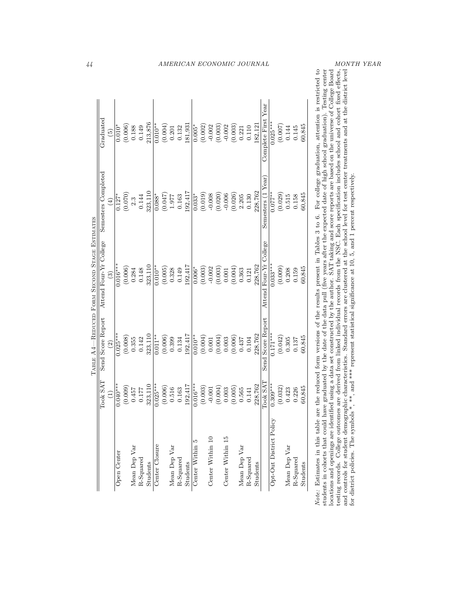| Semesters Completed<br>323,110<br>(0.070)<br>(0.047)<br>$0.127*$<br>$0.088*$<br>0.144<br>2.3<br>$\widehat{4}$<br>Attend Four-Yr College<br>$0.016***$<br>323,110<br>$0.010**$<br>(0.006)<br>(0.005)<br>0.284<br>0.148<br>$\widehat{c}$<br>Send Score Report<br>$0.025***$<br>323,110<br>$0.011**$<br>(0.008)<br>(0.006)<br>0.355<br>0.142<br>$\widehat{c}$<br>Took SAT<br>323,110<br>$0.025***$<br>$0.040***$<br>(0.006)<br>(0.009)<br>0.457<br>0.177<br>$\widehat{E}$<br>Center Closure<br>Mean Dep Var<br>Open Center<br>R-Squared<br>Students | $\operatorname{Graduated}$<br>(0.006)<br>$0.010^{*}$<br>0.188<br>0.149<br>$\widehat{5}$ |                          |
|--------------------------------------------------------------------------------------------------------------------------------------------------------------------------------------------------------------------------------------------------------------------------------------------------------------------------------------------------------------------------------------------------------------------------------------------------------------------------------------------------------------------------------------------------|-----------------------------------------------------------------------------------------|--------------------------|
|                                                                                                                                                                                                                                                                                                                                                                                                                                                                                                                                                  |                                                                                         |                          |
|                                                                                                                                                                                                                                                                                                                                                                                                                                                                                                                                                  |                                                                                         |                          |
|                                                                                                                                                                                                                                                                                                                                                                                                                                                                                                                                                  |                                                                                         |                          |
|                                                                                                                                                                                                                                                                                                                                                                                                                                                                                                                                                  |                                                                                         |                          |
|                                                                                                                                                                                                                                                                                                                                                                                                                                                                                                                                                  |                                                                                         |                          |
|                                                                                                                                                                                                                                                                                                                                                                                                                                                                                                                                                  | 213,876                                                                                 |                          |
|                                                                                                                                                                                                                                                                                                                                                                                                                                                                                                                                                  | $0.010**$                                                                               |                          |
|                                                                                                                                                                                                                                                                                                                                                                                                                                                                                                                                                  | (0.004)                                                                                 | <i>AMERICAN ECONOMIC</i> |
| 1.977<br>0.328<br>0.399<br>0.516<br>Mean Dep Var                                                                                                                                                                                                                                                                                                                                                                                                                                                                                                 | 0.201                                                                                   |                          |
| 0.163<br>0.149<br>0.134<br>0.163<br>R-Squared                                                                                                                                                                                                                                                                                                                                                                                                                                                                                                    | 0.132                                                                                   |                          |
| 192,417<br>192,417<br>92,417<br>192,417<br>Students                                                                                                                                                                                                                                                                                                                                                                                                                                                                                              | 181,931                                                                                 |                          |
| $0.033*$<br>$0.006*$<br>$0.010**$<br>$0.016***$<br>Center Within 5                                                                                                                                                                                                                                                                                                                                                                                                                                                                               | $0.005*$                                                                                |                          |
| (0.019)<br>(0.003)<br>(0.004)<br>(0.003)                                                                                                                                                                                                                                                                                                                                                                                                                                                                                                         | (0.002)                                                                                 |                          |
| $-0.008$<br>$-0.002$<br>0.001<br>$-0.001$<br>Center Within 10                                                                                                                                                                                                                                                                                                                                                                                                                                                                                    | $-0.002$                                                                                |                          |
| (0.020)<br>(0.003)<br>(0.004)<br>(0.004)                                                                                                                                                                                                                                                                                                                                                                                                                                                                                                         | (0.003)                                                                                 |                          |
| $-0.006$<br>0.001<br>0.003<br>0.003<br>Center Within 15                                                                                                                                                                                                                                                                                                                                                                                                                                                                                          | $-0.002$                                                                                |                          |
| (0.026)<br>(0.004)<br>(0.006)<br>(0.005)                                                                                                                                                                                                                                                                                                                                                                                                                                                                                                         | (0.003)                                                                                 |                          |
| 2.205<br>0.363<br>0.437<br>0.565<br>Mean Dep Var                                                                                                                                                                                                                                                                                                                                                                                                                                                                                                 | 0.221                                                                                   |                          |
| 0.130<br>0.121<br>0.104<br>0.141<br>R-Squared                                                                                                                                                                                                                                                                                                                                                                                                                                                                                                    | 0.110                                                                                   |                          |
| 228,762<br>228,762<br>228,762<br>228,762<br>Students                                                                                                                                                                                                                                                                                                                                                                                                                                                                                             | 182,12                                                                                  |                          |
| Semesters (1 Year)<br>Attend Four-Yr College<br>Send Score Report<br>Took SAT                                                                                                                                                                                                                                                                                                                                                                                                                                                                    | Complete First Year                                                                     | <i>JOURNAL</i>           |
| $0.077**$<br>$0.033***$<br>$0.171***$<br>$0.309***$<br>Opt-Out District Policy                                                                                                                                                                                                                                                                                                                                                                                                                                                                   | $0.025**$                                                                               |                          |
| (0.029)<br>(0.009)<br>(0.042)<br>(0.032)                                                                                                                                                                                                                                                                                                                                                                                                                                                                                                         | (0.007)                                                                                 |                          |
| 0.515<br>0.208<br>0.305<br>0.423<br>Mean Dep Var                                                                                                                                                                                                                                                                                                                                                                                                                                                                                                 | 0.144                                                                                   |                          |
| 0.158<br>0.159<br>0.137<br>0.226<br>$R-Squared$                                                                                                                                                                                                                                                                                                                                                                                                                                                                                                  | 0.145                                                                                   |                          |
| 60,845<br>60.845<br>60,845<br>60,845<br>Students                                                                                                                                                                                                                                                                                                                                                                                                                                                                                                 | 60,845                                                                                  |                          |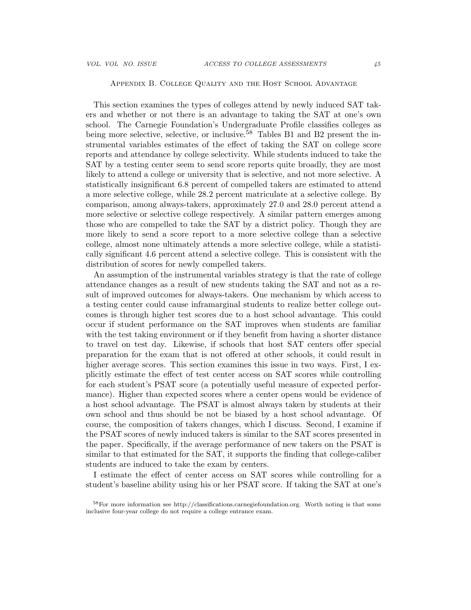## Appendix B. College Quality and the Host School Advantage

This section examines the types of colleges attend by newly induced SAT takers and whether or not there is an advantage to taking the SAT at one's own school. The Carnegie Foundation's Undergraduate Profile classifies colleges as being more selective, selective, or inclusive.  $58$  Tables B1 and B2 present the instrumental variables estimates of the effect of taking the SAT on college score reports and attendance by college selectivity. While students induced to take the SAT by a testing center seem to send score reports quite broadly, they are most likely to attend a college or university that is selective, and not more selective. A statistically insignificant 6.8 percent of compelled takers are estimated to attend a more selective college, while 28.2 percent matriculate at a selective college. By comparison, among always-takers, approximately 27.0 and 28.0 percent attend a more selective or selective college respectively. A similar pattern emerges among those who are compelled to take the SAT by a district policy. Though they are more likely to send a score report to a more selective college than a selective college, almost none ultimately attends a more selective college, while a statistically significant 4.6 percent attend a selective college. This is consistent with the distribution of scores for newly compelled takers.

An assumption of the instrumental variables strategy is that the rate of college attendance changes as a result of new students taking the SAT and not as a result of improved outcomes for always-takers. One mechanism by which access to a testing center could cause inframarginal students to realize better college outcomes is through higher test scores due to a host school advantage. This could occur if student performance on the SAT improves when students are familiar with the test taking environment or if they benefit from having a shorter distance to travel on test day. Likewise, if schools that host SAT centers offer special preparation for the exam that is not offered at other schools, it could result in higher average scores. This section examines this issue in two ways. First, I explicitly estimate the effect of test center access on SAT scores while controlling for each student's PSAT score (a potentially useful measure of expected performance). Higher than expected scores where a center opens would be evidence of a host school advantage. The PSAT is almost always taken by students at their own school and thus should be not be biased by a host school advantage. Of course, the composition of takers changes, which I discuss. Second, I examine if the PSAT scores of newly induced takers is similar to the SAT scores presented in the paper. Specifically, if the average performance of new takers on the PSAT is similar to that estimated for the SAT, it supports the finding that college-caliber students are induced to take the exam by centers.

I estimate the effect of center access on SAT scores while controlling for a student's baseline ability using his or her PSAT score. If taking the SAT at one's

<sup>58</sup>For more information see http://classifications.carnegiefoundation.org. Worth noting is that some inclusive four-year college do not require a college entrance exam.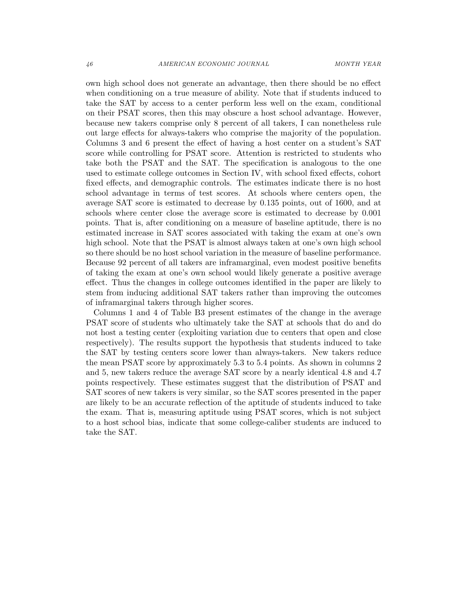own high school does not generate an advantage, then there should be no effect when conditioning on a true measure of ability. Note that if students induced to take the SAT by access to a center perform less well on the exam, conditional on their PSAT scores, then this may obscure a host school advantage. However, because new takers comprise only 8 percent of all takers, I can nonetheless rule out large effects for always-takers who comprise the majority of the population. Columns 3 and 6 present the effect of having a host center on a student's SAT score while controlling for PSAT score. Attention is restricted to students who take both the PSAT and the SAT. The specification is analogous to the one used to estimate college outcomes in Section IV, with school fixed effects, cohort fixed effects, and demographic controls. The estimates indicate there is no host school advantage in terms of test scores. At schools where centers open, the average SAT score is estimated to decrease by 0.135 points, out of 1600, and at schools where center close the average score is estimated to decrease by 0.001 points. That is, after conditioning on a measure of baseline aptitude, there is no estimated increase in SAT scores associated with taking the exam at one's own high school. Note that the PSAT is almost always taken at one's own high school so there should be no host school variation in the measure of baseline performance. Because 92 percent of all takers are inframarginal, even modest positive benefits of taking the exam at one's own school would likely generate a positive average effect. Thus the changes in college outcomes identified in the paper are likely to stem from inducing additional SAT takers rather than improving the outcomes of inframarginal takers through higher scores.

Columns 1 and 4 of Table B3 present estimates of the change in the average PSAT score of students who ultimately take the SAT at schools that do and do not host a testing center (exploiting variation due to centers that open and close respectively). The results support the hypothesis that students induced to take the SAT by testing centers score lower than always-takers. New takers reduce the mean PSAT score by approximately 5.3 to 5.4 points. As shown in columns 2 and 5, new takers reduce the average SAT score by a nearly identical 4.8 and 4.7 points respectively. These estimates suggest that the distribution of PSAT and SAT scores of new takers is very similar, so the SAT scores presented in the paper are likely to be an accurate reflection of the aptitude of students induced to take the exam. That is, measuring aptitude using PSAT scores, which is not subject to a host school bias, indicate that some college-caliber students are induced to take the SAT.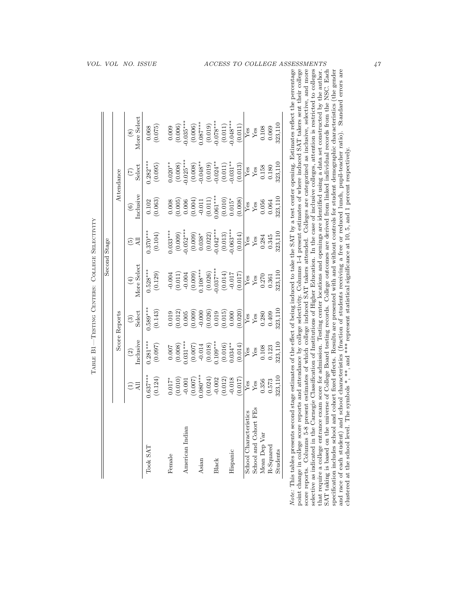|                        |                                                                                                                                                                       |                                                                                                                                                                                                                                                                                                                          |                                                                                                                                                                                                                                                                                                     |                                                                                                                                                                                                                                                                                                                        | Second Stage                                                                                                                                                                                                                                                                                                                  |                                                                                                                                     |                                                                                                                                                                                                                                                                                                           |                                                                                                                                                                           |
|------------------------|-----------------------------------------------------------------------------------------------------------------------------------------------------------------------|--------------------------------------------------------------------------------------------------------------------------------------------------------------------------------------------------------------------------------------------------------------------------------------------------------------------------|-----------------------------------------------------------------------------------------------------------------------------------------------------------------------------------------------------------------------------------------------------------------------------------------------------|------------------------------------------------------------------------------------------------------------------------------------------------------------------------------------------------------------------------------------------------------------------------------------------------------------------------|-------------------------------------------------------------------------------------------------------------------------------------------------------------------------------------------------------------------------------------------------------------------------------------------------------------------------------|-------------------------------------------------------------------------------------------------------------------------------------|-----------------------------------------------------------------------------------------------------------------------------------------------------------------------------------------------------------------------------------------------------------------------------------------------------------|---------------------------------------------------------------------------------------------------------------------------------------------------------------------------|
|                        |                                                                                                                                                                       |                                                                                                                                                                                                                                                                                                                          | Score Reports                                                                                                                                                                                                                                                                                       |                                                                                                                                                                                                                                                                                                                        |                                                                                                                                                                                                                                                                                                                               |                                                                                                                                     | Attendance                                                                                                                                                                                                                                                                                                |                                                                                                                                                                           |
|                        | Дl                                                                                                                                                                    | nclusive<br>$\widehat{c}$                                                                                                                                                                                                                                                                                                | $\frac{(3)}{\text{Select}}$                                                                                                                                                                                                                                                                         | $(4)$ More Select                                                                                                                                                                                                                                                                                                      | $\overline{AB}$<br>$\widetilde{\mathbf{e}}$                                                                                                                                                                                                                                                                                   | inclusive<br>$\odot$                                                                                                                | $\frac{7}{3}$                                                                                                                                                                                                                                                                                             | More Select<br>$\circledast$                                                                                                                                              |
| Took SAT               | $0.637***$<br>(0.124)                                                                                                                                                 | $0.281***$<br>(0.097)                                                                                                                                                                                                                                                                                                    | $0.589***$<br>(0.143)                                                                                                                                                                                                                                                                               | $0.528***$<br>(0.129)                                                                                                                                                                                                                                                                                                  | $0.370***$<br>(0.104)                                                                                                                                                                                                                                                                                                         | (0.102)                                                                                                                             | $0.282***$<br>(0.095)                                                                                                                                                                                                                                                                                     | (0.068)                                                                                                                                                                   |
| Female                 |                                                                                                                                                                       |                                                                                                                                                                                                                                                                                                                          |                                                                                                                                                                                                                                                                                                     |                                                                                                                                                                                                                                                                                                                        | $0.033***$                                                                                                                                                                                                                                                                                                                    |                                                                                                                                     |                                                                                                                                                                                                                                                                                                           |                                                                                                                                                                           |
| American Indian        | $\begin{array}{c} 0.017^{*} \\ (0.010) \\ (0.001) \\ (0.007) \\ (0.007) \\ (0.024) \\ (0.024) \\ (0.022) \\ (0.012) \\ (0.012) \\ (0.012) \\ (-0.018) \\ \end{array}$ | $\begin{array}{l} (0.007 \\ (0.008) \\ 0.031*** \\ (0.007) \\ (0.014) \\ (0.014) \\ (0.018) \\ (0.018) \\ (0.016) \\ (0.016) \\ (0.034** \\ (0.014) \\ (0.014) \\ (0.014) \\ (0.014) \\ (0.015) \\ (0.015) \\ (0.015) \\ (0.017) \\ (0.018) \\ (0.019) \\ (0.019) \\ (0.019) \\ (0.019) \\ (0.019) \\ (0.019) \\ (0.019$ | $\begin{array}{l} 0.019 \\ 0.012) \\ 0.005 \\ 0.009 \\ 0.000 \\ 0.019 \\ 0.019 \\ 0.000 \\ 0.000 \\ 0.000 \\ 0.019 \\ 0.000 \\ 0.000 \\ 0.000 \\ 0.000 \\ 0.000 \\ 0.000 \\ 0.000 \\ 0.000 \\ 0.000 \\ 0.000 \\ 0.000 \\ 0.000 \\ 0.000 \\ 0.000 \\ 0.000 \\ 0.000 \\ 0.000 \\ 0.000 \\ 0.000 \\ 0$ | $\begin{array}{c} -0.004 \\ (0.011) \\ -0.004 \\ (0.009) \\ (0.009) \\ (0.009) \\ (0.000) \\ (0.014) \\ (0.026) \\ (0.017) \\ (0.017) \\ (0.017) \\ (0.017) \\ (0.017) \\ (0.017) \\ (0.018) \\ (0.017) \\ (0.018) \\ (0.019) \\ (0.010) \\ (0.010) \\ (0.017) \\ (0.017) \\ (0.018) \\ (0.019) \\ (0.010) \\ (0.010)$ | $\begin{array}{c} (0.009) \\ 0.052^{***} \\ (0.002) \\ (0.038^{**} \\ (0.022) \\ (0.024^{***} \\ (0.013) \\ (0.013) \\ (0.013) \\ (0.003^{***} \\ (0.014) \\ (0.014) \\ (0.014) \\ (0.014) \\ (0.015) \\ (0.015) \\ (0.015) \\ (0.016) \\ (0.017) \\ (0.018) \\ (0.019) \\ (0.019) \\ (0.019) \\ (0.019) \\ (0.019) \\ (0.01$ | $\begin{array}{c} 0.008\\ (0.005)\\ (0.006)\\ (0.004)\\ (0.004)\\ (0.011)\\ (0.011)\\ (0.011)\\ (0.010)\\ (0.010)^{*}} \end{array}$ | $\begin{array}{l} 0.020^{**}\\ (0.008)\\ (0.008)\\ (0.008^{**}\\ (0.008^{**}\\ (0.008^{**}\\ (0.019)\\ (0.019)\\ (0.011)\\ (0.011)\\ (0.011^{**}\\ (0.013)\\ (0.013)\\ (0.013)\\ (0.013)\\ (0.013)\\ (0.013)\\ (0.013)\\ (0.013)\\ (0.013)\\ (0.013)\\ (0.013)\\ (0.013)\\ (0.013)\\ (0.013)\\ (0.013)\\$ | $\begin{array}{c} 0.009 \\ (0.006) \\ 0.035^{***} \\ (0.006) \\ (0.006) \\ (0.007^{***} \\ (0.019) \\ (0.019) \\ (0.019) \\ (0.011) \\ (0.011) \\ (0.012) \\ \end{array}$ |
|                        |                                                                                                                                                                       |                                                                                                                                                                                                                                                                                                                          |                                                                                                                                                                                                                                                                                                     |                                                                                                                                                                                                                                                                                                                        |                                                                                                                                                                                                                                                                                                                               |                                                                                                                                     |                                                                                                                                                                                                                                                                                                           |                                                                                                                                                                           |
| Asian                  |                                                                                                                                                                       |                                                                                                                                                                                                                                                                                                                          |                                                                                                                                                                                                                                                                                                     |                                                                                                                                                                                                                                                                                                                        |                                                                                                                                                                                                                                                                                                                               |                                                                                                                                     |                                                                                                                                                                                                                                                                                                           |                                                                                                                                                                           |
|                        |                                                                                                                                                                       |                                                                                                                                                                                                                                                                                                                          |                                                                                                                                                                                                                                                                                                     |                                                                                                                                                                                                                                                                                                                        |                                                                                                                                                                                                                                                                                                                               |                                                                                                                                     |                                                                                                                                                                                                                                                                                                           |                                                                                                                                                                           |
| Black                  |                                                                                                                                                                       |                                                                                                                                                                                                                                                                                                                          |                                                                                                                                                                                                                                                                                                     |                                                                                                                                                                                                                                                                                                                        |                                                                                                                                                                                                                                                                                                                               |                                                                                                                                     |                                                                                                                                                                                                                                                                                                           |                                                                                                                                                                           |
|                        |                                                                                                                                                                       |                                                                                                                                                                                                                                                                                                                          |                                                                                                                                                                                                                                                                                                     |                                                                                                                                                                                                                                                                                                                        |                                                                                                                                                                                                                                                                                                                               |                                                                                                                                     |                                                                                                                                                                                                                                                                                                           |                                                                                                                                                                           |
| Hispanic               |                                                                                                                                                                       |                                                                                                                                                                                                                                                                                                                          |                                                                                                                                                                                                                                                                                                     |                                                                                                                                                                                                                                                                                                                        |                                                                                                                                                                                                                                                                                                                               |                                                                                                                                     |                                                                                                                                                                                                                                                                                                           |                                                                                                                                                                           |
|                        | (0.017)                                                                                                                                                               |                                                                                                                                                                                                                                                                                                                          |                                                                                                                                                                                                                                                                                                     |                                                                                                                                                                                                                                                                                                                        |                                                                                                                                                                                                                                                                                                                               | (0.008)                                                                                                                             |                                                                                                                                                                                                                                                                                                           | (0.011)                                                                                                                                                                   |
| School Characteristics | $_{\rm Yes}^{\rm Yes}$                                                                                                                                                |                                                                                                                                                                                                                                                                                                                          |                                                                                                                                                                                                                                                                                                     | $\begin{array}{c}\n\overline{\mathbf{y}}_{\text{gs}} \\ \overline{\mathbf{y}}_{\text{gs}} \\ 0.361 \\ \end{array}$                                                                                                                                                                                                     | $\sqrt{\frac{2}{9}}$                                                                                                                                                                                                                                                                                                          |                                                                                                                                     | $\overline{\overline{X}}$ 88<br>$\overline{X}$ 88<br>$\overline{X}$ 580<br>$\overline{X}$ 580                                                                                                                                                                                                             | $\frac{Y_{68}}{Y_{68}}$<br>0.108<br>0.069<br>323,110                                                                                                                      |
| School and Cohort FEs  |                                                                                                                                                                       |                                                                                                                                                                                                                                                                                                                          |                                                                                                                                                                                                                                                                                                     |                                                                                                                                                                                                                                                                                                                        |                                                                                                                                                                                                                                                                                                                               |                                                                                                                                     |                                                                                                                                                                                                                                                                                                           |                                                                                                                                                                           |
| Mean Dep Var           | 0.356                                                                                                                                                                 | $\overline{Y}$ es<br>$\overline{Y}$ es<br>0.123                                                                                                                                                                                                                                                                          |                                                                                                                                                                                                                                                                                                     |                                                                                                                                                                                                                                                                                                                        |                                                                                                                                                                                                                                                                                                                               | $\begin{array}{c} \rm Yes\\ \rm Yes\\ \rm 0.056\\ \rm 0.064 \end{array}$                                                            |                                                                                                                                                                                                                                                                                                           |                                                                                                                                                                           |
| $R$ -Squared           | $\!0.573$                                                                                                                                                             |                                                                                                                                                                                                                                                                                                                          | $0.280$<br>$0.409$                                                                                                                                                                                                                                                                                  |                                                                                                                                                                                                                                                                                                                        | $0.284$<br>$0.345$                                                                                                                                                                                                                                                                                                            |                                                                                                                                     |                                                                                                                                                                                                                                                                                                           |                                                                                                                                                                           |
| Students               | 323,110                                                                                                                                                               | 323,110                                                                                                                                                                                                                                                                                                                  | 323,110                                                                                                                                                                                                                                                                                             | 323,110                                                                                                                                                                                                                                                                                                                | 323,110                                                                                                                                                                                                                                                                                                                       | 323,110                                                                                                                             | 323,110                                                                                                                                                                                                                                                                                                   |                                                                                                                                                                           |

TABLE B1-TESTING CENTERS: COLLEGE SELECTIVITY

Note: This tables presents second stage estimates of the effect of being induced to take the SAT by a test center opening. Estimates reflect the percentage point change in college score reports and attendance by college selectivity. Columns 1-4 present estimates of where induced SAT takers sent their college<br>score reports. Columns 5-8 present estimates of which college induce SAT taking is based on the universe of College Board testing records. College outcomes are derived from linked individual records from the NSC. Each specification includes school and cohort fixed effects. Results are presented with and without controls for student demographic characteristics (the gender and race of each student) and school characteristics (fraction of selective as indicated in the Carnegie Classification of Institutions of Higher Education. In the case of inclusive colleges, attention is restricted to colleges that require a college entrance exam score for admission. Testing center locations and openings are identified using a data set constructed by the author. Note: This tables presents second stage estimates of the effect of being induced to take the SAT by a test center opening. Estimates reflect the percentage point change in college score reports and attendance by college selectivity. Columns 1-4 present estimates of where induced SAT takers sent their college score reports. Columns 5-8 present estimates of which college induced SAT takers attended. Colleges are categorized as inclusive, selective, and more selective as indicated in the Carnegie Classification of Institutions of Higher Education. In the case of inclusive colleges, attention is restricted to colleges SAT taking is based on the universe of College Board testing records. College outcomes are derived from linked individual records from the NSC. Each specification includes school and cohort fixed effects. Results are presented with and without controls for student demographic characteristics (the gender and race of each student) and school characteristics (fraction of students receiving a free or reduced lunch, pupil-teacher ratio). Standard errors are that require a college entrance exam score for admission. Testing center locations and openings are identified using a data set constructed by the author. clustered at the school level. The symbols \*, \*\*, and \*\*\* represent statistical significance at 10, 5, and 1 percent respectively.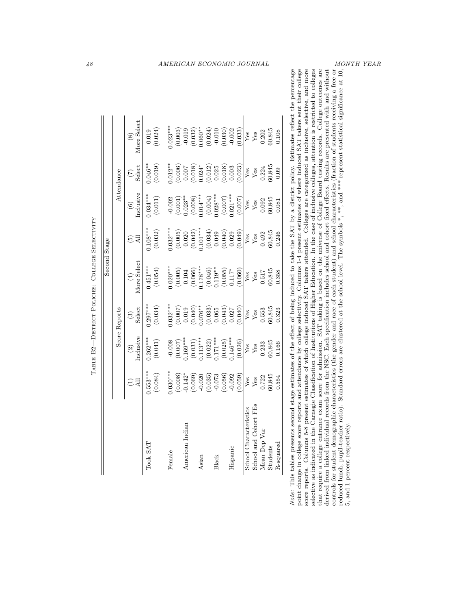|              |               |                                             |                                    | AMERICAN ECONOMIC JOURNAL |                    |                     |                       |            |         |            |         |                        |                       |              |          |           |                                                                                                                                                                                                                                                                                                                                                         |                                                                                                                                                                                                                                                                                                                           |                                                                                                                                                                                                                                                                                                                                                                | MONTH YEAR                     |
|--------------|---------------|---------------------------------------------|------------------------------------|---------------------------|--------------------|---------------------|-----------------------|------------|---------|------------|---------|------------------------|-----------------------|--------------|----------|-----------|---------------------------------------------------------------------------------------------------------------------------------------------------------------------------------------------------------------------------------------------------------------------------------------------------------------------------------------------------------|---------------------------------------------------------------------------------------------------------------------------------------------------------------------------------------------------------------------------------------------------------------------------------------------------------------------------|----------------------------------------------------------------------------------------------------------------------------------------------------------------------------------------------------------------------------------------------------------------------------------------------------------------------------------------------------------------|--------------------------------|
|              |               |                                             |                                    |                           |                    |                     |                       |            |         |            |         |                        |                       |              |          |           | stage estimates of the effect of being induced to take the SAT by a district policy. Estimates reflect the percentage                                                                                                                                                                                                                                   |                                                                                                                                                                                                                                                                                                                           | Standard errors are clustered at the school level. The symbols *, **, and *** represent statistical significance at 10,                                                                                                                                                                                                                                        |                                |
|              |               | More Select<br>$\circledast$                | (0.024)<br>0.019                   | $0.023***$<br>(0.003)     | $-0.019$           | (0.032)             | $0.060**$<br>(0.024)  | $-0.010$   | (0.030) | $-0.002$   | (0.033) | $Y$ es                 | Yes                   | 0.202        | 60,845   | 0.108     |                                                                                                                                                                                                                                                                                                                                                         |                                                                                                                                                                                                                                                                                                                           |                                                                                                                                                                                                                                                                                                                                                                |                                |
|              | Attendance    | Select<br>$\widetilde{(\mathcal{L})}$       | $0.046**$<br>(0.019)               | $0.012**$                 | (0.006)<br>$0.007$ | $(0.018)$<br>0.024* | (0.012)               | 0.025      | (0.018) | 0.003      | (0.023) | ${\rm Yes}$            | Yes                   | 0.224        | 60,845   | 0.09      |                                                                                                                                                                                                                                                                                                                                                         |                                                                                                                                                                                                                                                                                                                           |                                                                                                                                                                                                                                                                                                                                                                |                                |
|              |               | Inclusive<br>$\odot$                        | $0.034***$<br>$\left(0.011\right)$ | (0.001)<br>$-0.002$       | $0.023**$          | (0.008)             | $0.014***$<br>(0.004) | $0.028***$ | (0.007) | $0.021***$ | (0.007) | $Y$ es                 | Yes                   | 0.092        | 60,845   | 0.081     |                                                                                                                                                                                                                                                                                                                                                         |                                                                                                                                                                                                                                                                                                                           |                                                                                                                                                                                                                                                                                                                                                                |                                |
|              |               | All<br>$\widetilde{\mathbf{e}}$             | $0.108***$<br>(0.032)              | $0.032***$<br>(0.005)     | 0.020              | (0.042)             | $0.101***$<br>(0.034) | 0.049      | (0.040) | 0.029      | (0.049) | $Y$ es                 | Yes                   | 0.492        | 60,845   | 0.246     |                                                                                                                                                                                                                                                                                                                                                         |                                                                                                                                                                                                                                                                                                                           |                                                                                                                                                                                                                                                                                                                                                                |                                |
| Second Stage |               | More Select<br>$\left( \frac{4}{2} \right)$ | $0.451***$<br>(0.054)              | $0.020***$<br>(0.005)     | 0.104              | (0.066)             | $0.178***$<br>(0.046) | $0.119**$  | (0.055) | $0.117*$   | (0.060) | $Y$ es                 | ${\rm Yes}$           | 0.517        | 60,845   | 0.358     |                                                                                                                                                                                                                                                                                                                                                         |                                                                                                                                                                                                                                                                                                                           |                                                                                                                                                                                                                                                                                                                                                                |                                |
|              | Score Reports | Select<br>$\widehat{c}$                     | $0.297***$<br>(0.034)              | $0.032***$                | (0.007)<br>0.019   | (0.040)             | $0.076**$<br>(0.033)  | 0.065      | (0.043) | 0.027      | (0.040) | Yes                    | Yes                   | 0.553        | 30,845   | 0.323     |                                                                                                                                                                                                                                                                                                                                                         |                                                                                                                                                                                                                                                                                                                           |                                                                                                                                                                                                                                                                                                                                                                |                                |
|              |               | Inclusive<br>$\widehat{c}$                  | $0.262***$<br>(0.041)              | (0.007)<br>$-0.008$       | $0.169***$         | (0.031)             | $0.113***$<br>(0.022) | $0.171***$ | (0.025) | $0.146***$ | (0.026) | Yes                    | $\mathbf{Yes}$        | 0.233        | 60,845   | 0.166     |                                                                                                                                                                                                                                                                                                                                                         |                                                                                                                                                                                                                                                                                                                           |                                                                                                                                                                                                                                                                                                                                                                |                                |
|              |               | All<br>Ξ                                    | $0.553***$<br>(0.084)              | $0.030***$<br>(0.008)     | $-0.142*$          | (0.069)             | $-0.020$<br>(0.035)   | $-0.073$   | (0.056) | $-0.092$   | (0.059) | $Y$ es                 | Yes                   | 0.722        | 60,845   | 0.554     |                                                                                                                                                                                                                                                                                                                                                         |                                                                                                                                                                                                                                                                                                                           |                                                                                                                                                                                                                                                                                                                                                                |                                |
|              |               |                                             | Took SAT                           | Female                    | American Indian    |                     | Asian                 | Black      |         | Hispanic   |         | School Characteristics | School and Cohort FEs | Mean Dep Var | Students | R-squared | point change in college score reports and attendance by college selectivity. Columns 1-4 present estimates of where induced SAT takers sent their college<br>score reports. Columns 5-8 present estimates of which college induced SAT takers attended. Colleges are categorized as inclusive, selective, and more<br>Note: This tables presents second | selective as indicated in the Carnegie Classification of Institutions of Higher Education. In the case of inclusive colleges, attention is restricted to colleges<br>that require a college entrance exam score for admission. SAT taking is based on the universe of College Board testing records. College outcomes are | derived from linked individual records from the NSC. Each specification includes school and cohort fixed effects. Results are presented with and without<br>controls for student demographic characteristics (the gender and race of each student) and school characteristics (fraction of students receiving a free or<br>reduced lunch, pupil-teacher ratio) | 5, and 1 percent respectively. |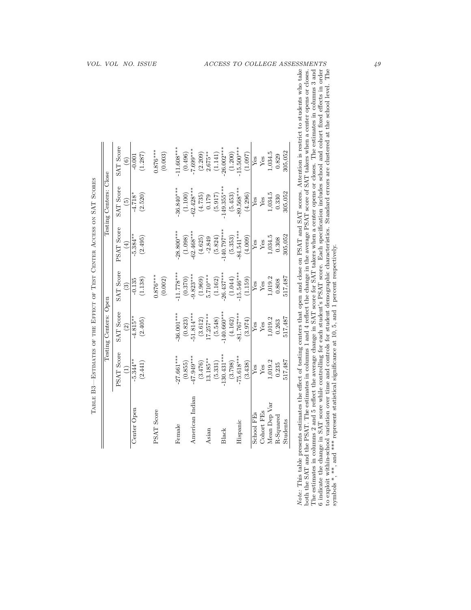| VOL. VOL               |                                 | NO. ISSUE             |                       |                         |                         | $\mathit{ACCESS}$      |               | TO                      |         |            |            |              |           | COLLEGE ASSESSMENTS                                                                                                                                                                                                                                                                                                           |                                                                                                                                                                                                                                                                                                                                                             |                                                                                                 |
|------------------------|---------------------------------|-----------------------|-----------------------|-------------------------|-------------------------|------------------------|---------------|-------------------------|---------|------------|------------|--------------|-----------|-------------------------------------------------------------------------------------------------------------------------------------------------------------------------------------------------------------------------------------------------------------------------------------------------------------------------------|-------------------------------------------------------------------------------------------------------------------------------------------------------------------------------------------------------------------------------------------------------------------------------------------------------------------------------------------------------------|-------------------------------------------------------------------------------------------------|
|                        |                                 |                       |                       |                         |                         |                        |               |                         |         |            |            |              |           |                                                                                                                                                                                                                                                                                                                               | reflect the average change in SAT score for SAT takers when a center opens or closes. The estimates in columns 3 and                                                                                                                                                                                                                                        |                                                                                                 |
|                        | SAT Score<br>$\widehat{6}$      | (1.287)<br>$-0.001$   | $0.876***$<br>(0.003) | $-11.608***$<br>(0.496) | $-7.699***$<br>(2.209)  | $2.675***$<br>(1.141)  | $-26.002***$  | $-15.500***$<br>(1.200) | (1.097) | Yes        | Yes        | 1,034.5      | 0.829     | 305,052                                                                                                                                                                                                                                                                                                                       |                                                                                                                                                                                                                                                                                                                                                             |                                                                                                 |
| Testing Centers: Close | SAT Score<br>$\widehat{5}$      | $-4.718*$<br>(2.520)  |                       | 36.840***<br>(1.100)    | $-62.428***$<br>(4.735) | (5.917)<br>0.179       | $-149.355***$ | $-89.568***$<br>(5.453) | (4.296) | Yes        | Yes        | 1,034.5      | 0.330     | 305,052                                                                                                                                                                                                                                                                                                                       |                                                                                                                                                                                                                                                                                                                                                             |                                                                                                 |
|                        | PSAT Score<br>$\left( 4\right)$ | $-5.384**$<br>(2.495) |                       | $28.800***$<br>(1.098)  | $-62.468***$<br>(4.625) | (5.824)<br>$-2.849$    | $-140.797***$ | $-84.541***$<br>(5.353) | (4.009) | Yes        | Yes        | 1,034.5      | 0.308     | 305,052                                                                                                                                                                                                                                                                                                                       |                                                                                                                                                                                                                                                                                                                                                             |                                                                                                 |
|                        | SAT Score<br>$\binom{3}{2}$     | (1.138)<br>$-0.135$   | $0.876***$<br>(0.002) | $-11.778***$<br>(0.370) | $0.823***$<br>(1.969)   | $5.710***$<br>(1.162)  | $26.437***$   | $-15.546***$<br>(1.044) | (1.159) | Yes        | Yes        | 1,019.2      | 0.808     | 517,487                                                                                                                                                                                                                                                                                                                       |                                                                                                                                                                                                                                                                                                                                                             |                                                                                                 |
| Testing Centers: Open  | SAT Score<br>$\widehat{2}$      | $-4.815**$<br>(2.405) |                       | $36.001***$<br>(0.823)  | $-51.814***$<br>(3.612) | $17.257***$<br>(5.548) | $-140.660***$ | $-81.767***$<br>(4.162) | (3.974) | Yes        | Yes        | 1,019.2      | 0.263     | 517,487                                                                                                                                                                                                                                                                                                                       |                                                                                                                                                                                                                                                                                                                                                             |                                                                                                 |
|                        | PSAT Score<br>$\widehat{E}$     | $-5.344**$<br>(2.441) |                       | $27.661***$<br>(0.855)  | $-47.949***$<br>(3.476) | 13.185**<br>(5.331)    | $-130.431***$ | $-75.618***$<br>(3.798) | (3.438) | Yes        | Yes        | 1,019.2      | 0.235     | 517,487                                                                                                                                                                                                                                                                                                                       |                                                                                                                                                                                                                                                                                                                                                             |                                                                                                 |
|                        |                                 | Center Open           | PSAT Score            | Female                  | American Indian         | Asian                  | Black         | Hispanic                |         | School FEs | Cohort FEs | Mean Dep Var | R-Squared | Note: This table presents estimates the effect of testing centers that open and close on PSAT and SAT scores. Attention is restrict to students who take<br>both the SAT and the PSAT. The estimates in columns 1 and 4 reflect the change in the average PSAT score of SAT takers when a center opens or closes.<br>Students | 6 indicate the change in SAT score while controlling for each student's PSAT score. Each specification includes school and cohort fixed effects in order<br>to exploit within-school variation over time and controls for student demographic characteristics. Standard errors are clustered at the school level. The<br>The estimates in columns 2 and 5 i | symbols *, **, and *** represent statistical significance at 10, 5, and 1 percent respectively. |
|                        |                                 |                       |                       |                         |                         |                        |               |                         |         |            |            |              |           |                                                                                                                                                                                                                                                                                                                               |                                                                                                                                                                                                                                                                                                                                                             |                                                                                                 |

| ļ             | $\frac{1}{2}$                                                                                                        |
|---------------|----------------------------------------------------------------------------------------------------------------------|
|               |                                                                                                                      |
|               | )<br>}                                                                                                               |
|               | ׅ֧ׅ֧ׅ֧ׅ֧֧֧֧ׅ֧֧֛֧֧֛ׅ֧֧֧֚֚֚֚֚֚֚֚֚֚֚֚֚֚֚֚֚֚֚֡֕֘֩֓֜֓֝֬֓֡֬֜֓֓֝֓֓֜֓֓֓֜֓֝֬֝֬                                                |
|               | ו<br>נ                                                                                                               |
|               | i<br>!<br>֠<br>j                                                                                                     |
|               | i                                                                                                                    |
|               | しょうしょう しょうしょう<br>֧֧֧֧֧֧֧֛֧֧֧֧֧֧֧֧֧֧֧֛֪ׅ֧֛֪֧֛֪֛֪֛֪֛֛֪֛֪֛֪֛֚֚֚֚֚֚֚֚֚֚֚֚֚֚֚֚֚֚֚֚֬֘֝֕֕֕֕֓֡֝֬֝֓֝֬֝֬֝֬֝֓֝֬֝֬֝֬֝֬֝֬֝֬֝֬֝֬֝֬ |
|               | י<br>ג                                                                                                               |
|               | İ                                                                                                                    |
|               | l                                                                                                                    |
|               |                                                                                                                      |
| $\frac{1}{2}$ | j<br>I                                                                                                               |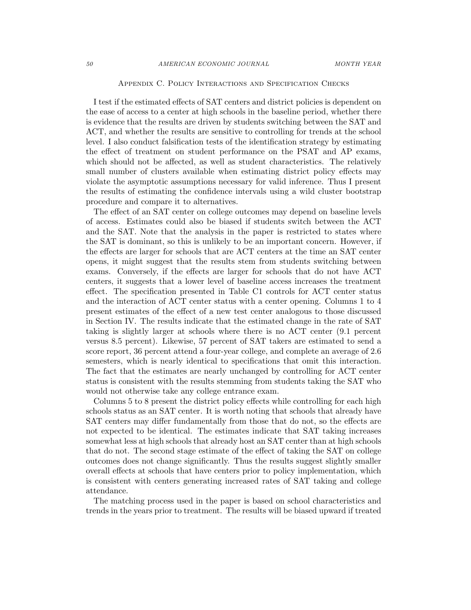## Appendix C. Policy Interactions and Specification Checks

I test if the estimated effects of SAT centers and district policies is dependent on the ease of access to a center at high schools in the baseline period, whether there is evidence that the results are driven by students switching between the SAT and ACT, and whether the results are sensitive to controlling for trends at the school level. I also conduct falsification tests of the identification strategy by estimating the effect of treatment on student performance on the PSAT and AP exams, which should not be affected, as well as student characteristics. The relatively small number of clusters available when estimating district policy effects may violate the asymptotic assumptions necessary for valid inference. Thus I present the results of estimating the confidence intervals using a wild cluster bootstrap procedure and compare it to alternatives.

The effect of an SAT center on college outcomes may depend on baseline levels of access. Estimates could also be biased if students switch between the ACT and the SAT. Note that the analysis in the paper is restricted to states where the SAT is dominant, so this is unlikely to be an important concern. However, if the effects are larger for schools that are ACT centers at the time an SAT center opens, it might suggest that the results stem from students switching between exams. Conversely, if the effects are larger for schools that do not have ACT centers, it suggests that a lower level of baseline access increases the treatment effect. The specification presented in Table C1 controls for ACT center status and the interaction of ACT center status with a center opening. Columns 1 to 4 present estimates of the effect of a new test center analogous to those discussed in Section IV. The results indicate that the estimated change in the rate of SAT taking is slightly larger at schools where there is no ACT center (9.1 percent versus 8.5 percent). Likewise, 57 percent of SAT takers are estimated to send a score report, 36 percent attend a four-year college, and complete an average of 2.6 semesters, which is nearly identical to specifications that omit this interaction. The fact that the estimates are nearly unchanged by controlling for ACT center status is consistent with the results stemming from students taking the SAT who would not otherwise take any college entrance exam.

Columns 5 to 8 present the district policy effects while controlling for each high schools status as an SAT center. It is worth noting that schools that already have SAT centers may differ fundamentally from those that do not, so the effects are not expected to be identical. The estimates indicate that SAT taking increases somewhat less at high schools that already host an SAT center than at high schools that do not. The second stage estimate of the effect of taking the SAT on college outcomes does not change significantly. Thus the results suggest slightly smaller overall effects at schools that have centers prior to policy implementation, which is consistent with centers generating increased rates of SAT taking and college attendance.

The matching process used in the paper is based on school characteristics and trends in the years prior to treatment. The results will be biased upward if treated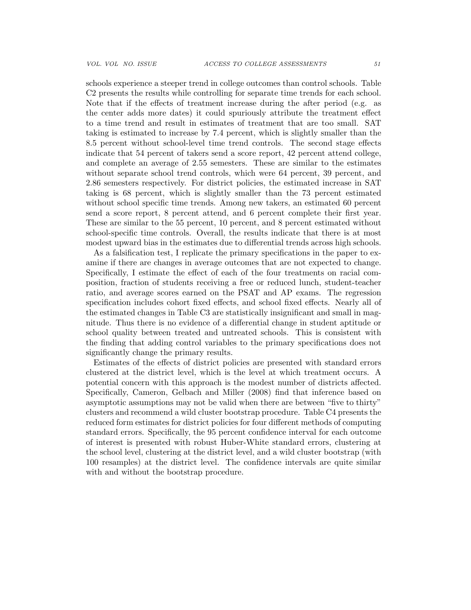schools experience a steeper trend in college outcomes than control schools. Table C2 presents the results while controlling for separate time trends for each school. Note that if the effects of treatment increase during the after period (e.g. as the center adds more dates) it could spuriously attribute the treatment effect to a time trend and result in estimates of treatment that are too small. SAT taking is estimated to increase by 7.4 percent, which is slightly smaller than the 8.5 percent without school-level time trend controls. The second stage effects indicate that 54 percent of takers send a score report, 42 percent attend college, and complete an average of 2.55 semesters. These are similar to the estimates without separate school trend controls, which were 64 percent, 39 percent, and 2.86 semesters respectively. For district policies, the estimated increase in SAT taking is 68 percent, which is slightly smaller than the 73 percent estimated without school specific time trends. Among new takers, an estimated 60 percent send a score report, 8 percent attend, and 6 percent complete their first year. These are similar to the 55 percent, 10 percent, and 8 percent estimated without school-specific time controls. Overall, the results indicate that there is at most modest upward bias in the estimates due to differential trends across high schools.

As a falsification test, I replicate the primary specifications in the paper to examine if there are changes in average outcomes that are not expected to change. Specifically, I estimate the effect of each of the four treatments on racial composition, fraction of students receiving a free or reduced lunch, student-teacher ratio, and average scores earned on the PSAT and AP exams. The regression specification includes cohort fixed effects, and school fixed effects. Nearly all of the estimated changes in Table C3 are statistically insignificant and small in magnitude. Thus there is no evidence of a differential change in student aptitude or school quality between treated and untreated schools. This is consistent with the finding that adding control variables to the primary specifications does not significantly change the primary results.

Estimates of the effects of district policies are presented with standard errors clustered at the district level, which is the level at which treatment occurs. A potential concern with this approach is the modest number of districts affected. Specifically, Cameron, Gelbach and Miller (2008) find that inference based on asymptotic assumptions may not be valid when there are between "five to thirty" clusters and recommend a wild cluster bootstrap procedure. Table C4 presents the reduced form estimates for district policies for four different methods of computing standard errors. Specifically, the 95 percent confidence interval for each outcome of interest is presented with robust Huber-White standard errors, clustering at the school level, clustering at the district level, and a wild cluster bootstrap (with 100 resamples) at the district level. The confidence intervals are quite similar with and without the bootstrap procedure.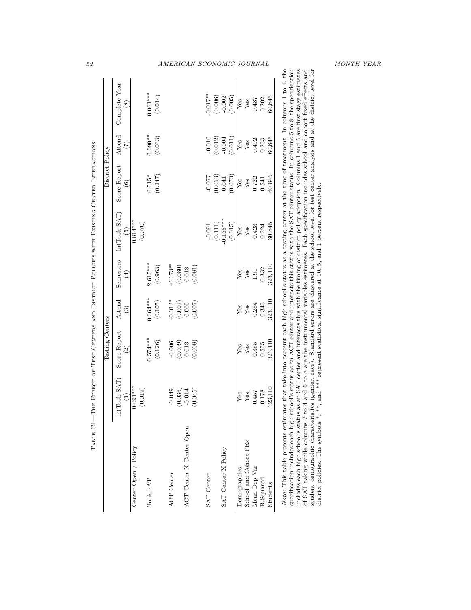| 52                                                                                          |                 |                                 |                       |                       |            | AMERICAN ECONOMIC JOURNAL      |             |         |                        |              |                       |              |           |          |                                                                                                                                                                                                                                                                                                                                                                                                                                                                                                                                                                                                                                                                                                                                                                                                                                                                       | MONTH YEAR |  |
|---------------------------------------------------------------------------------------------|-----------------|---------------------------------|-----------------------|-----------------------|------------|--------------------------------|-------------|---------|------------------------|--------------|-----------------------|--------------|-----------|----------|-----------------------------------------------------------------------------------------------------------------------------------------------------------------------------------------------------------------------------------------------------------------------------------------------------------------------------------------------------------------------------------------------------------------------------------------------------------------------------------------------------------------------------------------------------------------------------------------------------------------------------------------------------------------------------------------------------------------------------------------------------------------------------------------------------------------------------------------------------------------------|------------|--|
|                                                                                             |                 | Complete Year<br>$\widehat{8}$  |                       | $0.061***$<br>(0.014) |            |                                | $-0.017***$ | (0.006) | $-0.002$<br>(0.005)    | Yes          | ${\rm Yes}$           | 0.437        | 0.202     | 60,845   |                                                                                                                                                                                                                                                                                                                                                                                                                                                                                                                                                                                                                                                                                                                                                                                                                                                                       |            |  |
|                                                                                             |                 | Attend<br>$\widetilde{C}$       |                       | $0.090**$<br>(0.033)  |            |                                | $-0.010$    | (0.012) | $-0.004$<br>(0.011)    | Yes          | ${\rm Yes}$           | 0.492        | 0.233     | 60,845   |                                                                                                                                                                                                                                                                                                                                                                                                                                                                                                                                                                                                                                                                                                                                                                                                                                                                       |            |  |
|                                                                                             | District Policy | Score Report<br>$\widehat{6}$   |                       | (0.247)<br>$0.515*$   |            |                                | $-0.077$    | (0.053) | (0.073)<br>0.041       | $Y$ es       | Yes                   | 0.722        | 0.541     | 60,845   |                                                                                                                                                                                                                                                                                                                                                                                                                                                                                                                                                                                                                                                                                                                                                                                                                                                                       |            |  |
|                                                                                             |                 | ln(Took SAT)<br>$\widetilde{5}$ | $0.814***$<br>(0.070) |                       |            |                                | $-0.091$    | (0.111) | $-0.155***$<br>(0.015) | Yes          | ${\rm Yes}$           | 0.423        | 0.224     | 60,845   | and *** represent statistical significance at 10, 5, and 1 percent respectively.                                                                                                                                                                                                                                                                                                                                                                                                                                                                                                                                                                                                                                                                                                                                                                                      |            |  |
|                                                                                             |                 | Semesters<br>$\widehat{E}$      |                       | $2.615***$<br>(0.963) | $-0.173**$ | (0.080)<br>(0.081)<br>0.018    |             |         |                        | Yes          | Yes                   | $1.91\,$     | 0.332     | 323,110  |                                                                                                                                                                                                                                                                                                                                                                                                                                                                                                                                                                                                                                                                                                                                                                                                                                                                       |            |  |
|                                                                                             |                 | Attend<br>$\widehat{3}$         |                       | $0.364***$<br>(0.105) | $-0.012*$  | (0.007)<br>(0.007)<br>0.005    |             |         |                        | Yes          | Yes                   | 0.284        | 0.343     | 323,110  |                                                                                                                                                                                                                                                                                                                                                                                                                                                                                                                                                                                                                                                                                                                                                                                                                                                                       |            |  |
|                                                                                             | Testing Centers | Score Report<br>$\widehat{c}$   |                       | $0.574***$<br>(0.126) | $-0.006$   | (0.009)<br>(0.008)<br>0.013    |             |         |                        | Yes          | $Y$ es                | 0.355        | 0.555     | 323,110  |                                                                                                                                                                                                                                                                                                                                                                                                                                                                                                                                                                                                                                                                                                                                                                                                                                                                       |            |  |
| TABLE C1—THE EFFECT OF TEST CENTERS AND DISTRICT POLICIES WITH EXISTING CENTER INTERACTIONS |                 | ln(Took SAT)<br>$(1)$           | $0.091***$<br>(0.019) |                       | $-0.049$   | (0.036)<br>$-0.014$<br>(0.045) |             |         |                        | Yes          | Yes                   | 0.457        | 0.178     | 323,110  |                                                                                                                                                                                                                                                                                                                                                                                                                                                                                                                                                                                                                                                                                                                                                                                                                                                                       |            |  |
|                                                                                             |                 |                                 | Center Open / Policy  | Took SAT              | ACT Center | ACT Center X Center Open       | SAT Center  |         | SAT Center X Policy    | Demographics | School and Cohort FEs | Mean Dep Var | R-Squared | Students | Note: This table presents estimates that take into account each high school's status as a testing center at the time of treatment. In columns 1 to 4, the<br>specification includes each high school's status as an ACT center and interacts this status with the SAT center status. In columns 5 to 8, the specification<br>includes each high school's status as an SAT center and interacts this with the timing of district policy adoption. Columns 1 and 5 are first stage estimates<br>student demographic characteristics (gender, race). Standard errors are clustered at the school level for test center analysis and at the district level for<br>of SAT taking while columns $2$ to $4$ and $6$ to $8$ are the instrumental variables estimates. Each specification includes school and cohort fixed effects and<br>district policies. The symbols *, ** |            |  |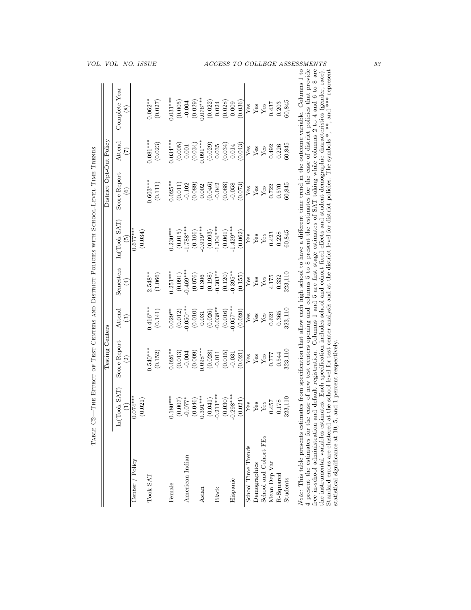| ln(Took SAT)<br>$0.074***$<br>(0.021)<br>$\widehat{\Xi}$ | Score Report<br>$\widehat{\mathbb{C}}$ | Attend                 |                                   |                                 | Score Report          | Attend                | Complete Year           |
|----------------------------------------------------------|----------------------------------------|------------------------|-----------------------------------|---------------------------------|-----------------------|-----------------------|-------------------------|
| Center / Policy                                          |                                        | $\widehat{\mathbf{e}}$ | Semesters<br>$\left( \pm \right)$ | ln(Took SAT)<br>$\widetilde{5}$ | $\widehat{6}$         | $\widetilde{C}$       | <u>ଡ</u>                |
| Took SAT                                                 |                                        |                        |                                   | $0.677***$<br>(0.034)           |                       |                       |                         |
|                                                          | $0.540***$<br>(0.152)                  | $0.416***$<br>(0.141)  | $2.548**$<br>(1.066)              |                                 | $0.603***$<br>(0.111) | $0.081***$<br>(0.023) | $0.062**$<br>(0.027)    |
| $0.180***$                                               | $0.026**$                              | $0.029**$              | $0.251***$                        | $0.230***$                      | $0.025**$             | $0.034***$            | $0.031***$              |
| (0.007)<br>$-0.077*$<br>American Indian                  | (0.013)<br>$-0.004$                    | $-0.050***$<br>(0.012) | $-0.469***$<br>(0.091)            | $-1.788***$<br>(0.015)          | $-0.102$<br>(0.011)   | (0.005)               | (0.005)<br>$-0.004$     |
| (0.046)                                                  | (0.009)                                | (0.010)                | (0.076)                           | (0.106)                         | (0.089)               | (0.001)               |                         |
| $0.391***$                                               | $0.098***$                             | 0.031                  | 0.306                             | $0.919***$                      | 0.002                 | $0.091***$            | $(0.029)$<br>$0.076***$ |
| (0.041)                                                  | (0.028)                                | (0.026)                | (0.198)                           | (0.093)                         | (0.046)               | (0.029)               | (0.022)                 |
| $-0.211***$                                              | $-0.011$                               | $0.038**$              | $0.303**$                         | $-1.304***$                     | $-0.042$              | 0.035                 | 0.024                   |
| (0.030)                                                  | (0.015)                                | (0.016)                | (0.120)                           | (0.061)                         | (0.068)               | (0.034)               | (0.028)                 |
| $-0.298***$<br>Hispanic                                  | $-0.031$                               | $0.057***$             | $0.395***$                        | $-1.429***$                     | $-0.058$              | 0.014                 | 0.009                   |
| (0.024)                                                  | (0.021)                                | (0.020)                | (0.155)                           | (0.062)                         | (0.073)               | (0.043)               | (0.036)                 |
| Yes<br>School Time Trends                                | Yes                                    | Yes                    | Yes                               | Yes                             | Yes                   | Yes                   | Yes                     |
| $Y$ es<br>Demographics                                   | Yes                                    | Yes                    | Yes                               | Yes                             | Yes                   | ${\rm Yes}$           | Yes                     |
| Yes<br>School and Cohort FEs                             | Yes                                    | Yes                    | Yes                               | Yes                             | Yes                   | Yes                   | Yes                     |
| 0.457<br>Mean Dep Var                                    | 0.777                                  | 0.621                  | 4.175                             | 0.423                           | 0.722                 | 0.492                 | 0.437                   |
| 0.178<br>R-Squared                                       | 0.544                                  | 0.365                  | 0.332                             | 0.228                           | 0.570                 | 0.226                 | 0.203                   |
| 323,110<br>Students                                      | 323,110                                | 323,110                | 323,110                           | 50,845                          | 60,845                | 60,845                | 60,845                  |

| ֖֖֖֖֖֖֧֪ׅ֖֧֚֚֚֚֚֚֚֚֚֚֚֚֚֚֚֚֚֚֚֚֚֚֚֚֚֚֚֚֚֬֡֝֟֓֡֞֡֝                                                              |
|----------------------------------------------------------------------------------------------------------------|
| j                                                                                                              |
| ֖֖֖֚֚֚֚֚֚֚֬                                                                                                    |
| ׇ֚֘֡                                                                                                           |
|                                                                                                                |
| ׅ֧ׅׅׅ֧֧֧֧֧֧֧֧֦֧֧֧֧֧֧֧֧֧֛֪֪֧֛֪֪֛֪֛֪֪֛֪֪ׅ֧֛֪ׅ֧֛֪֧֚֚֚֚֚֚֚֚֚֚֚֚֚֚֚֚֚֚֚֚֡֕֕֕֓֡֘֡֓֡֡֬֓֓֡֝֬֝֓֝֬֝֬֝֬֝֬֝֬֝֬֝֬֝֬֝֬֝֬֝֬֝֬ |
| i                                                                                                              |
| I                                                                                                              |
|                                                                                                                |
| $\frac{1}{2}$                                                                                                  |
|                                                                                                                |
| ١                                                                                                              |
| <br> <br> <br> <br>                                                                                            |
| I<br>۱                                                                                                         |
|                                                                                                                |
| $\frac{1}{1}$                                                                                                  |
|                                                                                                                |
|                                                                                                                |
|                                                                                                                |
|                                                                                                                |
| .<br>.<br>.<br>j                                                                                               |
| l                                                                                                              |
|                                                                                                                |
|                                                                                                                |
|                                                                                                                |
|                                                                                                                |
| j<br>ì                                                                                                         |
| ١<br>j<br>j                                                                                                    |
|                                                                                                                |
| ׇ֖֖֚֚֚֚֬֕                                                                                                      |
| l<br>ł                                                                                                         |
| Ì<br>j                                                                                                         |
| j<br>J                                                                                                         |
| j                                                                                                              |
| į<br>$\frac{1}{2}$                                                                                             |
|                                                                                                                |
| Ì                                                                                                              |
| <br> <br>                                                                                                      |
|                                                                                                                |
|                                                                                                                |
|                                                                                                                |
|                                                                                                                |
| i                                                                                                              |
| j                                                                                                              |
|                                                                                                                |
|                                                                                                                |
| j                                                                                                              |
| l                                                                                                              |
|                                                                                                                |
|                                                                                                                |
| $\begin{array}{c} \hline \end{array}$<br>֚֚֬<br>İ                                                              |
| ֦                                                                                                              |
| l<br>C<br>)                                                                                                    |
|                                                                                                                |
| The complete<br>ł                                                                                              |
| j                                                                                                              |
| l                                                                                                              |
|                                                                                                                |
| l                                                                                                              |
|                                                                                                                |
|                                                                                                                |
|                                                                                                                |
| I                                                                                                              |
|                                                                                                                |
| I                                                                                                              |
| j                                                                                                              |
|                                                                                                                |
| ׅ֧֧֧֧֧֧֧֧ׅ֧֧֧֧֧֧ׅ֧֧֧֧֧֧֧֧֧֛֛֪֪ׅ֛֪֪ׅ֧֚֚֚֚֚֚֚֚֚֚֚֚֚֚֚֚֚֚֚֡֕֡֡֡֡֡֡֡֡֡֡֓֝֓֓֝֓֓֓֝֬֓֝֬֝֓֝֬֝֬֝֬֝֬֝֬֝֬֝֬֝֬֝֬֝֬֝֬֝֬֝֝֝  |
| j                                                                                                              |
|                                                                                                                |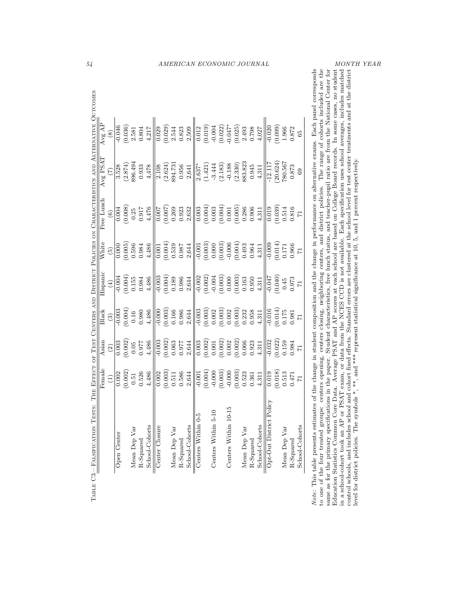|                             |             |         |              |           |                |                |         |              |           |                |                    |         |                     |         |                      |         |              |           | AMERICAN ECONOMIC JOURNAL |                         |          |              |           |                | MONTH YEAR                                                                                                                                                                                                                                                                                                                                                                                                                                                                                                                                                                                                                                                                                            |                                                                                                                                  |
|-----------------------------|-------------|---------|--------------|-----------|----------------|----------------|---------|--------------|-----------|----------------|--------------------|---------|---------------------|---------|----------------------|---------|--------------|-----------|---------------------------|-------------------------|----------|--------------|-----------|----------------|-------------------------------------------------------------------------------------------------------------------------------------------------------------------------------------------------------------------------------------------------------------------------------------------------------------------------------------------------------------------------------------------------------------------------------------------------------------------------------------------------------------------------------------------------------------------------------------------------------------------------------------------------------------------------------------------------------|----------------------------------------------------------------------------------------------------------------------------------|
|                             |             |         |              |           |                |                |         |              |           |                |                    |         |                     |         |                      |         |              |           |                           |                         |          |              |           |                | centers opening, centers closing, neighboring centers, and district policies. The range of cohorts included are the<br>and cohort fixed effects. Standard errors are clustered at the school level for test center treatments and at the district                                                                                                                                                                                                                                                                                                                                                                                                                                                     |                                                                                                                                  |
| Avg AP<br>$\circledast$     | $-0.046$    | (0.036) | 2.581        | 0.804     | 4,217          | 0.029          | (0.029) | 2.544        | 0.823     | 2,509          | 0.012              | (0.019) | $-0.004$            | (0.022) | $-0.047*$            | (0.025) | 2.493        | 0.798     | 4,027                     | $-0.020$                | (0.099)  | 1.966        | 0.872     | 89             |                                                                                                                                                                                                                                                                                                                                                                                                                                                                                                                                                                                                                                                                                                       |                                                                                                                                  |
| Avg PSAT<br>$\widehat{C}$   | 3.528       | (2.874) | 896.494      | 0.933     | 4,478          | 2.108          | (2.624) | 894.731      | 0.956     | 2,641          | $2.637*$           | (1.421) | $-3.444$            | (2.183) | $-0.188$             | (2.330) | 883.823      | 0.945     | 4,311                     | $-12.117$               | (20.624) | 780.567      | 0.873     | 69             |                                                                                                                                                                                                                                                                                                                                                                                                                                                                                                                                                                                                                                                                                                       |                                                                                                                                  |
| Free Lunch<br>$\widehat{6}$ | 0.004       | (0.008) | 0.25         | 0.917     | 4,476          | 0.007          | (0.007) | 0.269        | 0.923     | 2,632          | 0.003              | (0.004) | 0.003               | (0.004) | 0.001                | (0.005) | 0.286        | 0.906     | 4,311                     | 0.019                   | (0.039)  | 0.514        | 0.816     | $\overline{7}$ |                                                                                                                                                                                                                                                                                                                                                                                                                                                                                                                                                                                                                                                                                                       |                                                                                                                                  |
| White<br>$\widehat{5}$      | 0.000       | (0.005) | 0.596        | 0.984     | 4,486          | 0.001          | (100.0) | 0.539        | 0.987     | 2,644          | $-0.001$           | (0.003) | 0.000               | (0.003) | $-0.006$             | (0.004) | 0.493        | 0.964     | 4,311                     | $-0.009$                | (0.014)  | 0.171        | 0.966     | 71             |                                                                                                                                                                                                                                                                                                                                                                                                                                                                                                                                                                                                                                                                                                       |                                                                                                                                  |
| Hispanic<br>$\bigoplus$     | $-0.004$    | (0.004) | 0.155        | 0.984     | 4,486          | $-0.003$       | (0.004) | 0.189        | 0.986     | 2,644          | $-0.002$           | (0.002) | $-0.004$            | (0.003) | 0.000                | (0.003) | 0.163        | 0.950     | 4,311                     | $-0.047$                | (0.040)  | 0.45         | 0.973     | $\overline{7}$ |                                                                                                                                                                                                                                                                                                                                                                                                                                                                                                                                                                                                                                                                                                       |                                                                                                                                  |
| Black<br>$\widehat{c}$      | $-0.003$    | (100.0) | 0.16         | 0.980     | 4,486          | $-0.000$       | (0.003) | 0.166        | 0.986     | 2,644          | $-0.003$           | (0.003) | $0.002\,$           | (0.003) | 0.002                | (0.003) | 0.232        | 0.958     | 4,311                     | $-0.016$                | (0.014)  | 0.175        | 0.981     | 71             |                                                                                                                                                                                                                                                                                                                                                                                                                                                                                                                                                                                                                                                                                                       |                                                                                                                                  |
| Asian<br>$\widehat{c}$      | 0.003       | (0.002) | 0.05         | 0.977     | 4,486          | $-0.003$       | (0.002) | 0.063        | 0.977     | 2,644          | 0.003              | (0.002) | $0.001\,$           | (0.002) | 0.002                | (0.002) | 0.066        | 0.923     | 4,311                     | $-0.032$                | (0.022)  | 0.159        | 0.984     | 71             |                                                                                                                                                                                                                                                                                                                                                                                                                                                                                                                                                                                                                                                                                                       |                                                                                                                                  |
| Female<br>$\widehat{\Xi}$   | 0.002       | (0.002) | 0.51         | 0.526     | 4,486          | 0.002          | (0.003) | 0.511        | 0.586     | 2,644          | $-0.001$           | (0.004) | $-0.000$            | (0.003) | $-0.000$             | (0.003) | 0.523        | 0.361     | 4,311                     | 0.019                   | (0.018)  | 0.513        | 0.471     | $\overline{7}$ |                                                                                                                                                                                                                                                                                                                                                                                                                                                                                                                                                                                                                                                                                                       |                                                                                                                                  |
|                             | Open Center |         | Mean Dep Var | R-Squared | School-Cohorts | Center Closure |         | Mean Dep Var | R-Squared | School-Cohorts | Centers Within 0-5 |         | Centers Within 5-10 |         | Centers Within 10-15 |         | Mean Dep Var | R-Squared | School-Cohorts            | Opt-Out District Policy |          | Mean Dep Var | R-Squared | School-Cohorts | Note: This table presents estimates of the change in student composition and the change in performance on alternative exams. Each panel corresponds<br>Education Statistics Common Core Data. Average PSAT and AP scores at each school are based on College Board records. In some cases, no student<br>same as for the primary specifications in the paper. Student characteristics, free lunch status, and teacher-pupil ratio are from the National Center for<br>in a school-cohort took an AP or PSAT exam, or data from the NCES CCD is not available. Each specification uses school averages, includes matched<br>to one of the four treated groups:<br>control schools, and includes school | level for district policies. The symbols *, **, and *** represent statistical significance at 10, 5, and 1 percent respectively. |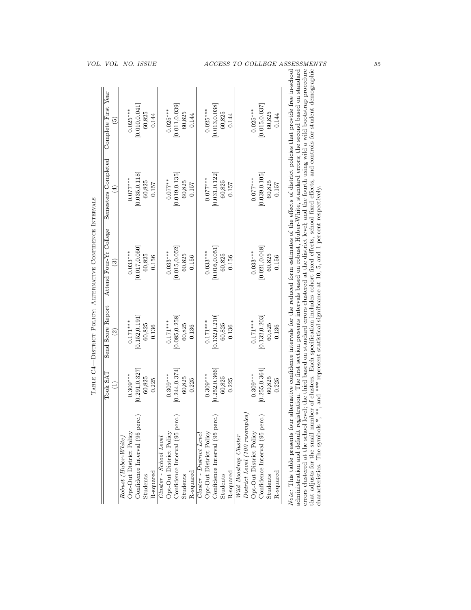| VOL. VOL                                          | <i>NO. ISSUE</i>                                                                                           | <b>MENTS</b><br>$\mathit{ACCESS}$<br><i>COLLEGE</i><br>TО<br>АS                                                                                                                                                                                                                                                                                                                                                                                                                                                                                                                                                                                                                                                                                                                                                                                                                                                                                                                                                                                                                          |
|---------------------------------------------------|------------------------------------------------------------------------------------------------------------|------------------------------------------------------------------------------------------------------------------------------------------------------------------------------------------------------------------------------------------------------------------------------------------------------------------------------------------------------------------------------------------------------------------------------------------------------------------------------------------------------------------------------------------------------------------------------------------------------------------------------------------------------------------------------------------------------------------------------------------------------------------------------------------------------------------------------------------------------------------------------------------------------------------------------------------------------------------------------------------------------------------------------------------------------------------------------------------|
| Complete First Year<br>$\widehat{5}$              | [0.010, 0.041]<br>$0.025***$<br>60,825<br>0.144                                                            | [0.011, 0.039]<br>[0.013, 0.038]<br>[0.015, 0.037]<br>$0.025***$<br>$0.025***$<br>$0.025***$<br>60,825<br>60,825<br>60,825<br>0.144<br>0.144<br>0.144                                                                                                                                                                                                                                                                                                                                                                                                                                                                                                                                                                                                                                                                                                                                                                                                                                                                                                                                    |
| Semesters Completed<br>$\widehat{E}$              | [0.035, 0.118]<br>$0.077***$<br>60,825<br>0.157                                                            | [0.019, 0.135]<br>[0.039, 0.105]<br>[0.031, 0.122]<br>$0.077***$<br>$0.077***$<br>$0.077***$<br>60,825<br>60,825<br>60,825<br>0.157<br>0.157<br>0.157                                                                                                                                                                                                                                                                                                                                                                                                                                                                                                                                                                                                                                                                                                                                                                                                                                                                                                                                    |
| Attend Four-Yr College<br>$\widehat{\mathcal{C}}$ | [0.017, 0.050]<br>$0.033***$<br>60,825<br>0.156                                                            | and *** represent statistical significance at 10, 5, and 1 percent respectively.<br>[0.015, 0.052]<br>[0.021, 0.048]<br>[0.016, 0.051]<br>$0.033***$<br>$0.033***$<br>$0.033***$<br>60,825<br>60,825<br>60,825<br>0.156<br>0.156<br>0.156                                                                                                                                                                                                                                                                                                                                                                                                                                                                                                                                                                                                                                                                                                                                                                                                                                                |
| Send Score Report<br>$\widehat{2}$                | [0.152, 0.191]<br>$0.171***$<br>60,825<br>0.136                                                            | [0.085, 0.258]<br>[0.132, 0.210]<br>[0.132, 0.203]<br>$0.171***$<br>$0.171***$<br>$0.171***$<br>60,825<br>60,825<br>60,825<br>0.136<br>0.136<br>0.136                                                                                                                                                                                                                                                                                                                                                                                                                                                                                                                                                                                                                                                                                                                                                                                                                                                                                                                                    |
| Took SAT<br>Ξ                                     | [0.291, 0.327]<br>$0.309***$<br>60,825<br>0.225                                                            | [0.244, 0.374]<br>[0.255, 0.364]<br>[0.252, 0.366]<br>$0.309***$<br>$0.309***$<br>$0.309***$<br>60,825<br>60,825<br>60,825<br>0.225<br>0.225<br>0.225                                                                                                                                                                                                                                                                                                                                                                                                                                                                                                                                                                                                                                                                                                                                                                                                                                                                                                                                    |
|                                                   | Confidence Interval (95 perc.)<br>Opt-Out District Policy<br>Robust (Huber-White,<br>R-squared<br>Students | errors clustered at the school level; the third based on standard errors clustered at the district level; and the fourth using wild a wild bootstrap procedure<br>that adjusts for the small number of clusters. Each specification includes cohort fixed effects, school fixed effects, and controls for student demographic<br>administration and default registration. The first section presents intervals based on robust, Huber-White, standard errors; the second based on standard<br>Note: This table presents four alternative confidence intervals for the reduced form estimates of the effects of district policies that provide free in-school<br>characteristics. The symbols *, **,<br>$District$ Level (100 resamples)<br>Confidence Interval (95 perc.)<br>Confidence Interval (95 perc.)<br>Confidence Interval (95 perc.)<br>Opt-Out District Policy<br>Opt-Out District Policy<br>Opt-Out District Policy<br>Cluster - District Level<br>Wild Boostrap Cluster<br>Cluster - School Level<br>R-squared<br>R-squared<br>R-squared<br>Students<br>Students<br>Students |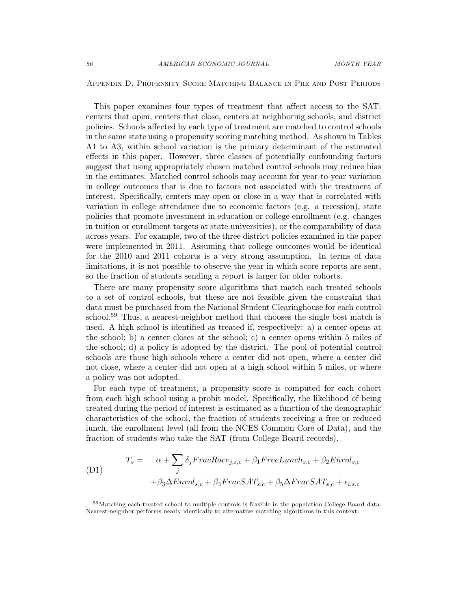Appendix D. Propensity Score Matching Balance in Pre and Post Periods

This paper examines four types of treatment that affect access to the SAT: centers that open, centers that close, centers at neighboring schools, and district policies. Schools affected by each type of treatment are matched to control schools in the same state using a propensity scoring matching method. As shown in Tables A1 to A3, within school variation is the primary determinant of the estimated effects in this paper. However, three classes of potentially confounding factors suggest that using appropriately chosen matched control schools may reduce bias in the estimates. Matched control schools may account for year-to-year variation in college outcomes that is due to factors not associated with the treatment of interest. Specifically, centers may open or close in a way that is correlated with variation in college attendance due to economic factors (e.g. a recession), state policies that promote investment in education or college enrollment (e.g. changes in tuition or enrollment targets at state universities), or the comparability of data across years. For example, two of the three district policies examined in the paper were implemented in 2011. Assuming that college outcomes would be identical for the 2010 and 2011 cohorts is a very strong assumption. In terms of data limitations, it is not possible to observe the year in which score reports are sent, so the fraction of students sending a report is larger for older cohorts.

There are many propensity score algorithms that match each treated schools to a set of control schools, but these are not feasible given the constraint that data must be purchased from the National Student Clearinghouse for each control school.<sup>59</sup> Thus, a nearest-neighbor method that chooses the single best match is used. A high school is identified as treated if, respectively: a) a center opens at the school; b) a center closes at the school; c) a center opens within 5 miles of the school; d) a policy is adopted by the district. The pool of potential control schools are those high schools where a center did not open, where a center did not close, where a center did not open at a high school within 5 miles, or where a policy was not adopted.

For each type of treatment, a propensity score is computed for each cohort from each high school using a probit model. Specifically, the likelihood of being treated during the period of interest is estimated as a function of the demographic characteristics of the school, the fraction of students receiving a free or reduced lunch, the enrollment level (all from the NCES Common Core of Data), and the fraction of students who take the SAT (from College Board records).

$$
(D1) \qquad T_s = \alpha + \sum_{j} \delta_j FracRace_{j,s,c} + \beta_1 FreeLunch_{s,c} + \beta_2 Enrol_{s,c}
$$
\n
$$
+ \beta_3 \Delta Enrol_{s,c} + \beta_4 FracSAT_{s,c} + \beta_5 \Delta FracSAT_{s,c} + \epsilon_{i,s,c}
$$

<sup>59</sup>Matching each treated school to multiple controls is feasible in the population College Board data. Nearest-neighbor performs nearly identically to alternative matching algorithms in this context.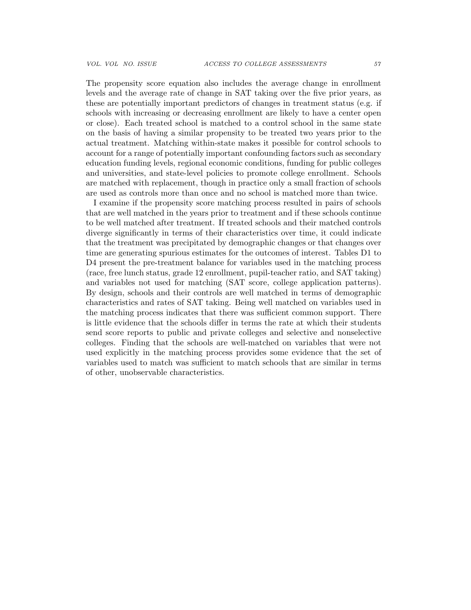The propensity score equation also includes the average change in enrollment levels and the average rate of change in SAT taking over the five prior years, as these are potentially important predictors of changes in treatment status (e.g. if schools with increasing or decreasing enrollment are likely to have a center open or close). Each treated school is matched to a control school in the same state on the basis of having a similar propensity to be treated two years prior to the actual treatment. Matching within-state makes it possible for control schools to account for a range of potentially important confounding factors such as secondary education funding levels, regional economic conditions, funding for public colleges and universities, and state-level policies to promote college enrollment. Schools are matched with replacement, though in practice only a small fraction of schools are used as controls more than once and no school is matched more than twice.

I examine if the propensity score matching process resulted in pairs of schools that are well matched in the years prior to treatment and if these schools continue to be well matched after treatment. If treated schools and their matched controls diverge significantly in terms of their characteristics over time, it could indicate that the treatment was precipitated by demographic changes or that changes over time are generating spurious estimates for the outcomes of interest. Tables D1 to D4 present the pre-treatment balance for variables used in the matching process (race, free lunch status, grade 12 enrollment, pupil-teacher ratio, and SAT taking) and variables not used for matching (SAT score, college application patterns). By design, schools and their controls are well matched in terms of demographic characteristics and rates of SAT taking. Being well matched on variables used in the matching process indicates that there was sufficient common support. There is little evidence that the schools differ in terms the rate at which their students send score reports to public and private colleges and selective and nonselective colleges. Finding that the schools are well-matched on variables that were not used explicitly in the matching process provides some evidence that the set of variables used to match was sufficient to match schools that are similar in terms of other, unobservable characteristics.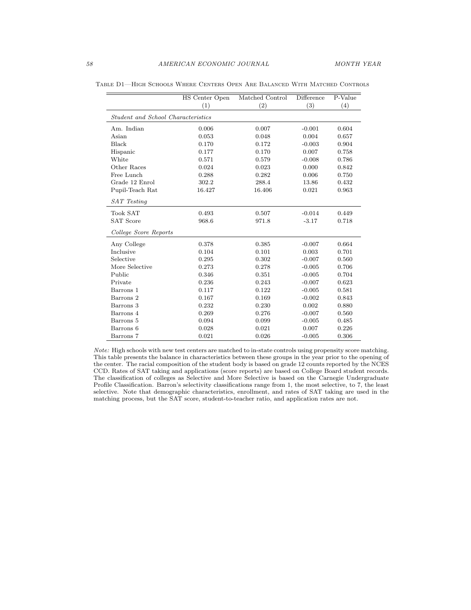|                                    | HS Center Open | Matched Control | Difference | P-Value |  |  |  |  |  |
|------------------------------------|----------------|-----------------|------------|---------|--|--|--|--|--|
|                                    | (1)            | (2)             | (3)        | (4)     |  |  |  |  |  |
| Student and School Characteristics |                |                 |            |         |  |  |  |  |  |
| Am. Indian                         | 0.006          | 0.007           | $-0.001$   | 0.604   |  |  |  |  |  |
| Asian                              | 0.053          | 0.048           | 0.004      | 0.657   |  |  |  |  |  |
| Black                              | 0.170          | 0.172           | $-0.003$   | 0.904   |  |  |  |  |  |
| Hispanic                           | 0.177          | 0.170           | 0.007      | 0.758   |  |  |  |  |  |
| White                              | 0.571          | 0.579           | $-0.008$   | 0.786   |  |  |  |  |  |
| Other Races                        | 0.024          | 0.023           | 0.000      | 0.842   |  |  |  |  |  |
| Free Lunch                         | 0.288          | 0.282           | 0.006      | 0.750   |  |  |  |  |  |
| Grade 12 Enrol                     | 302.2          | 288.4           | 13.86      | 0.432   |  |  |  |  |  |
| Pupil-Teach Rat                    | 16.427         | 16.406          | 0.021      | 0.963   |  |  |  |  |  |
| SAT Testing                        |                |                 |            |         |  |  |  |  |  |
| <b>Took SAT</b>                    | 0.493          | 0.507           | $-0.014$   | 0.449   |  |  |  |  |  |
| <b>SAT Score</b>                   | 968.6          | 971.8           | $-3.17$    | 0.718   |  |  |  |  |  |
| College Score Reports              |                |                 |            |         |  |  |  |  |  |
| Any College                        | 0.378          | 0.385           | $-0.007$   | 0.664   |  |  |  |  |  |
| Inclusive                          | 0.104          | 0.101           | 0.003      | 0.701   |  |  |  |  |  |
| Selective                          | 0.295          | 0.302           | $-0.007$   | 0.560   |  |  |  |  |  |
| More Selective                     | 0.273          | 0.278           | $-0.005$   | 0.706   |  |  |  |  |  |
| Public                             | 0.346          | 0.351           | $-0.005$   | 0.704   |  |  |  |  |  |
| Private                            | 0.236          | 0.243           | $-0.007$   | 0.623   |  |  |  |  |  |
| Barrons 1                          | 0.117          | 0.122           | $-0.005$   | 0.581   |  |  |  |  |  |
| Barrons 2                          | 0.167          | 0.169           | $-0.002$   | 0.843   |  |  |  |  |  |
| Barrons 3                          | 0.232          | 0.230           | 0.002      | 0.880   |  |  |  |  |  |
| Barrons 4                          | 0.269          | 0.276           | $-0.007$   | 0.560   |  |  |  |  |  |
| Barrons 5                          | 0.094          | 0.099           | $-0.005$   | 0.485   |  |  |  |  |  |
| Barrons 6                          | 0.028          | 0.021           | 0.007      | 0.226   |  |  |  |  |  |
| Barrons 7                          | 0.021          | 0.026           | $-0.005$   | 0.306   |  |  |  |  |  |

Table D1—High Schools Where Centers Open Are Balanced With Matched Controls

Note: High schools with new test centers are matched to in-state controls using propensity score matching. This table presents the balance in characteristics between these groups in the year prior to the opening of the center. The racial composition of the student body is based on grade 12 counts reported by the NCES CCD. Rates of SAT taking and applications (score reports) are based on College Board student records. The classification of colleges as Selective and More Selective is based on the Carnegie Undergraduate Profile Classification. Barron's selectivity classifications range from 1, the most selective, to 7, the least selective. Note that demographic characteristics, enrollment, and rates of SAT taking are used in the matching process, but the SAT score, student-to-teacher ratio, and application rates are not.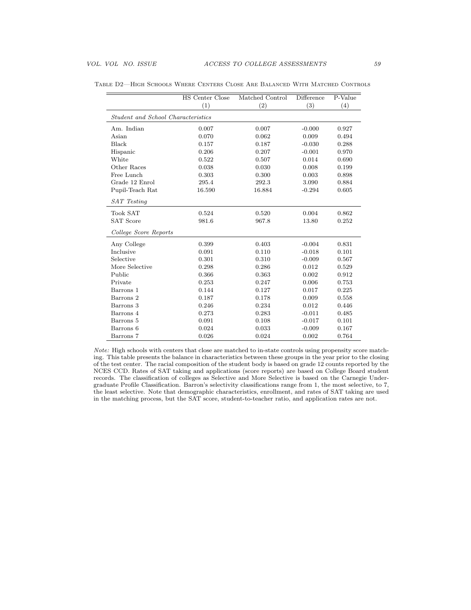|                                    | HS Center Close | Matched Control | Difference | P-Value |  |  |  |  |  |
|------------------------------------|-----------------|-----------------|------------|---------|--|--|--|--|--|
|                                    | (1)             | (2)             | (3)        | (4)     |  |  |  |  |  |
| Student and School Characteristics |                 |                 |            |         |  |  |  |  |  |
| Am. Indian                         | 0.007           | 0.007           | $-0.000$   | 0.927   |  |  |  |  |  |
| Asian                              | 0.070           | 0.062           | 0.009      | 0.494   |  |  |  |  |  |
| Black                              | 0.157           | 0.187           | $-0.030$   | 0.288   |  |  |  |  |  |
| Hispanic                           | 0.206           | 0.207           | $-0.001$   | 0.970   |  |  |  |  |  |
| White                              | 0.522           | 0.507           | 0.014      | 0.690   |  |  |  |  |  |
| Other Races                        | 0.038           | 0.030           | 0.008      | 0.199   |  |  |  |  |  |
| Free Lunch                         | 0.303           | 0.300           | 0.003      | 0.898   |  |  |  |  |  |
| Grade 12 Enrol                     | 295.4           | 292.3           | 3.090      | 0.884   |  |  |  |  |  |
| Pupil-Teach Rat                    | 16.590          | 16.884          | $-0.294$   | 0.605   |  |  |  |  |  |
| <b>SAT</b> Testing                 |                 |                 |            |         |  |  |  |  |  |
| <b>Took SAT</b>                    | 0.524           | 0.520           | 0.004      | 0.862   |  |  |  |  |  |
| <b>SAT Score</b>                   | 981.6           | 967.8           | 13.80      | 0.252   |  |  |  |  |  |
| College Score Reports              |                 |                 |            |         |  |  |  |  |  |
| Any College                        | 0.399           | 0.403           | $-0.004$   | 0.831   |  |  |  |  |  |
| Inclusive                          | 0.091           | 0.110           | $-0.018$   | 0.101   |  |  |  |  |  |
| Selective                          | 0.301           | 0.310           | $-0.009$   | 0.567   |  |  |  |  |  |
| More Selective                     | 0.298           | 0.286           | 0.012      | 0.529   |  |  |  |  |  |
| Public                             | 0.366           | 0.363           | 0.002      | 0.912   |  |  |  |  |  |
| Private                            | 0.253           | 0.247           | 0.006      | 0.753   |  |  |  |  |  |
| Barrons 1                          | 0.144           | 0.127           | 0.017      | 0.225   |  |  |  |  |  |
| Barrons 2                          | 0.187           | 0.178           | 0.009      | 0.558   |  |  |  |  |  |
| Barrons 3                          | 0.246           | 0.234           | 0.012      | 0.446   |  |  |  |  |  |
| Barrons 4                          | 0.273           | 0.283           | $-0.011$   | 0.485   |  |  |  |  |  |
| Barrons 5                          | 0.091           | 0.108           | $-0.017$   | 0.101   |  |  |  |  |  |
| Barrons 6                          | 0.024           | 0.033           | $-0.009$   | 0.167   |  |  |  |  |  |
| Barrons 7                          | 0.026           | 0.024           | 0.002      | 0.764   |  |  |  |  |  |

Table D2—High Schools Where Centers Close Are Balanced With Matched Controls

Note: High schools with centers that close are matched to in-state controls using propensity score matching. This table presents the balance in characteristics between these groups in the year prior to the closing of the test center. The racial composition of the student body is based on grade 12 counts reported by the NCES CCD. Rates of SAT taking and applications (score reports) are based on College Board student records. The classification of colleges as Selective and More Selective is based on the Carnegie Undergraduate Profile Classification. Barron's selectivity classifications range from 1, the most selective, to 7, the least selective. Note that demographic characteristics, enrollment, and rates of SAT taking are used in the matching process, but the SAT score, student-to-teacher ratio, and application rates are not.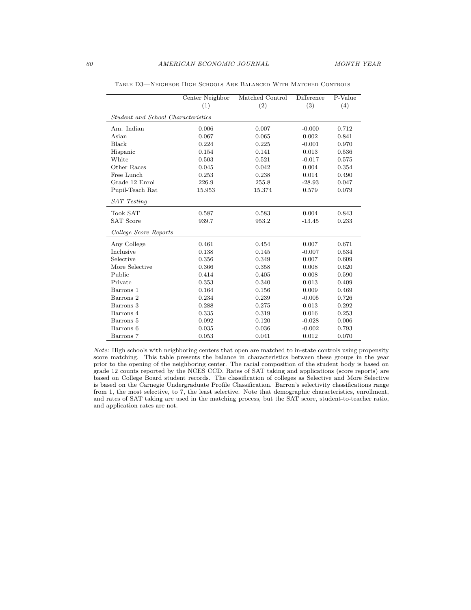|                                    | Center Neighbor | Matched Control | Difference | $\overline{P\text{-Value}}$ |  |  |  |  |  |
|------------------------------------|-----------------|-----------------|------------|-----------------------------|--|--|--|--|--|
|                                    | (1)             | (2)             | (3)        | (4)                         |  |  |  |  |  |
| Student and School Characteristics |                 |                 |            |                             |  |  |  |  |  |
| Am. Indian                         | 0.006           | 0.007           | $-0.000$   | 0.712                       |  |  |  |  |  |
| Asian                              | 0.067           | 0.065           | 0.002      | 0.841                       |  |  |  |  |  |
| Black                              | 0.224           | 0.225           | $-0.001$   | 0.970                       |  |  |  |  |  |
| Hispanic                           | 0.154           | 0.141           | 0.013      | 0.536                       |  |  |  |  |  |
| White                              | 0.503           | 0.521           | $-0.017$   | 0.575                       |  |  |  |  |  |
| Other Races                        | 0.045           | 0.042           | 0.004      | 0.354                       |  |  |  |  |  |
| Free Lunch                         | 0.253           | 0.238           | 0.014      | 0.490                       |  |  |  |  |  |
| Grade 12 Enrol                     | 226.9           | 255.8           | $-28.93$   | 0.047                       |  |  |  |  |  |
| Pupil-Teach Rat                    | 15.953          | 15.374          | 0.579      | 0.079                       |  |  |  |  |  |
| SAT Testing                        |                 |                 |            |                             |  |  |  |  |  |
| <b>Took SAT</b>                    | 0.587           | 0.583           | 0.004      | 0.843                       |  |  |  |  |  |
| <b>SAT Score</b>                   | 939.7           | 953.2           | $-13.45$   | 0.233                       |  |  |  |  |  |
| College Score Reports              |                 |                 |            |                             |  |  |  |  |  |
| Any College                        | 0.461           | 0.454           | 0.007      | 0.671                       |  |  |  |  |  |
| Inclusive                          | 0.138           | 0.145           | $-0.007$   | 0.534                       |  |  |  |  |  |
| Selective                          | 0.356           | 0.349           | 0.007      | 0.609                       |  |  |  |  |  |
| More Selective                     | 0.366           | 0.358           | 0.008      | 0.620                       |  |  |  |  |  |
| Public                             | 0.414           | 0.405           | 0.008      | 0.590                       |  |  |  |  |  |
| Private                            | 0.353           | 0.340           | 0.013      | 0.409                       |  |  |  |  |  |
| Barrons 1                          | 0.164           | 0.156           | 0.009      | 0.469                       |  |  |  |  |  |
| Barrons 2                          | 0.234           | 0.239           | $-0.005$   | 0.726                       |  |  |  |  |  |
| Barrons 3                          | 0.288           | 0.275           | 0.013      | 0.292                       |  |  |  |  |  |
| Barrons 4                          | 0.335           | 0.319           | 0.016      | 0.253                       |  |  |  |  |  |
| Barrons 5                          | 0.092           | 0.120           | $-0.028$   | 0.006                       |  |  |  |  |  |
| Barrons 6                          | 0.035           | 0.036           | $-0.002$   | 0.793                       |  |  |  |  |  |
| Barrons 7                          | 0.053           | 0.041           | 0.012      | 0.070                       |  |  |  |  |  |

Table D3—Neighbor High Schools Are Balanced With Matched Controls

Note: High schools with neighboring centers that open are matched to in-state controls using propensity score matching. This table presents the balance in characteristics between these groups in the year prior to the opening of the neighboring center. The racial composition of the student body is based on grade 12 counts reported by the NCES CCD. Rates of SAT taking and applications (score reports) are based on College Board student records. The classification of colleges as Selective and More Selective is based on the Carnegie Undergraduate Profile Classification. Barron's selectivity classifications range from 1, the most selective, to 7, the least selective. Note that demographic characteristics, enrollment, and rates of SAT taking are used in the matching process, but the SAT score, student-to-teacher ratio, and application rates are not.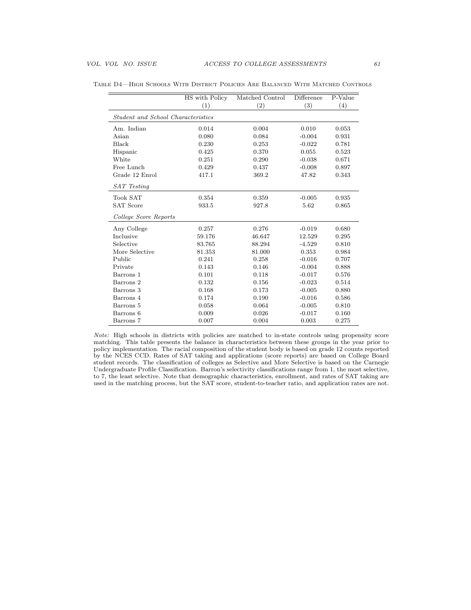|                                    | HS with Policy | Matched Control | Difference | P-Value |  |  |  |  |  |
|------------------------------------|----------------|-----------------|------------|---------|--|--|--|--|--|
|                                    | (1)            | (2)             | (3)        | (4)     |  |  |  |  |  |
| Student and School Characteristics |                |                 |            |         |  |  |  |  |  |
| Am. Indian                         | 0.014          | 0.004           | 0.010      | 0.053   |  |  |  |  |  |
| Asian                              | 0.080          | 0.084           | $-0.004$   | 0.931   |  |  |  |  |  |
| Black                              | 0.230          | 0.253           | $-0.022$   | 0.781   |  |  |  |  |  |
| Hispanic                           | 0.425          | 0.370           | 0.055      | 0.523   |  |  |  |  |  |
| White                              | 0.251          | 0.290           | $-0.038$   | 0.671   |  |  |  |  |  |
| Free Lunch                         | 0.429          | 0.437           | $-0.008$   | 0.897   |  |  |  |  |  |
| Grade 12 Enrol                     | 417.1          | 369.2           | 47.82      | 0.343   |  |  |  |  |  |
| SAT Testing                        |                |                 |            |         |  |  |  |  |  |
| <b>Took SAT</b>                    | 0.354          | 0.359           | $-0.005$   | 0.935   |  |  |  |  |  |
| <b>SAT Score</b>                   | 933.5          | 927.8           | 5.62       | 0.865   |  |  |  |  |  |
| College Score Reports              |                |                 |            |         |  |  |  |  |  |
| Any College                        | 0.257          | 0.276           | $-0.019$   | 0.680   |  |  |  |  |  |
| Inclusive                          | 59.176         | 46.647          | 12.529     | 0.295   |  |  |  |  |  |
| Selective                          | 83.765         | 88.294          | $-4.529$   | 0.810   |  |  |  |  |  |
| More Selective                     | 81.353         | 81.000          | 0.353      | 0.984   |  |  |  |  |  |
| Public                             | 0.241          | 0.258           | $-0.016$   | 0.707   |  |  |  |  |  |
| Private                            | 0.143          | 0.146           | $-0.004$   | 0.888   |  |  |  |  |  |
| Barrons 1                          | 0.101          | 0.118           | $-0.017$   | 0.576   |  |  |  |  |  |
| Barrons 2                          | 0.132          | 0.156           | $-0.023$   | 0.514   |  |  |  |  |  |
| Barrons 3                          | 0.168          | 0.173           | $-0.005$   | 0.880   |  |  |  |  |  |
| Barrons 4                          | 0.174          | 0.190           | $-0.016$   | 0.586   |  |  |  |  |  |
| Barrons 5                          | 0.058          | 0.064           | $-0.005$   | 0.810   |  |  |  |  |  |
| Barrons 6                          | 0.009          | 0.026           | $-0.017$   | 0.160   |  |  |  |  |  |
| Barrons 7                          | 0.007          | 0.004           | 0.003      | 0.275   |  |  |  |  |  |

Table D4—High Schools With District Policies Are Balanced With Matched Controls

Note: High schools in districts with policies are matched to in-state controls using propensity score matching. This table presents the balance in characteristics between these groups in the year prior to policy implementation. The racial composition of the student body is based on grade 12 counts reported by the NCES CCD. Rates of SAT taking and applications (score reports) are based on College Board student records. The classification of colleges as Selective and More Selective is based on the Carnegie Undergraduate Profile Classification. Barron's selectivity classifications range from 1, the most selective, to 7, the least selective. Note that demographic characteristics, enrollment, and rates of SAT taking are used in the matching process, but the SAT score, student-to-teacher ratio, and application rates are not.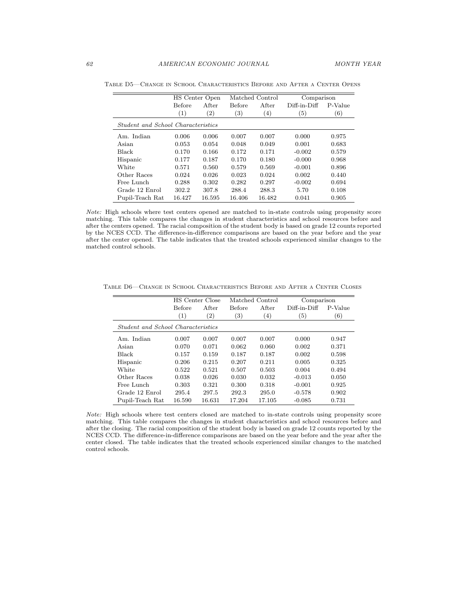|                                    | HS Center Open |                   |                   | Matched Control | Comparison        |         |  |
|------------------------------------|----------------|-------------------|-------------------|-----------------|-------------------|---------|--|
|                                    | <b>Before</b>  | After             | <b>Before</b>     | After           | Diff-in-Diff      | P-Value |  |
|                                    | (1)            | $\left( 2\right)$ | $\left( 3\right)$ | $^{(4)}$        | $\left( 5\right)$ | (6)     |  |
| Student and School Characteristics |                |                   |                   |                 |                   |         |  |
| Am. Indian                         | 0.006          | 0.006             | 0.007             | 0.007           | 0.000             | 0.975   |  |
| Asian                              | 0.053          | 0.054             | 0.048             | 0.049           | 0.001             | 0.683   |  |
| <b>Black</b>                       | 0.170          | 0.166             | 0.172             | 0.171           | $-0.002$          | 0.579   |  |
| Hispanic                           | 0.177          | 0.187             | 0.170             | 0.180           | $-0.000$          | 0.968   |  |
| White                              | 0.571          | 0.560             | 0.579             | 0.569           | $-0.001$          | 0.896   |  |
| Other Races                        | 0.024          | 0.026             | 0.023             | 0.024           | 0.002             | 0.440   |  |
| Free Lunch                         | 0.288          | 0.302             | 0.282             | 0.297           | $-0.002$          | 0.694   |  |
| Grade 12 Enrol                     | 302.2          | 307.8             | 288.4             | 288.3           | 5.70              | 0.108   |  |
| Pupil-Teach Rat                    | 16.427         | 16.595            | 16.406            | 16.482          | 0.041             | 0.905   |  |

Table D5—Change in School Characteristics Before and After a Center Opens

Note: High schools where test centers opened are matched to in-state controls using propensity score matching. This table compares the changes in student characteristics and school resources before and after the centers opened. The racial composition of the student body is based on grade 12 counts reported by the NCES CCD. The difference-in-difference comparisons are based on the year before and the year after the center opened. The table indicates that the treated schools experienced similar changes to the matched control schools.

Table D6—Change in School Characteristics Before and After a Center Closes

|                                           | Matched Control<br><b>HS</b> Center Close |                       |                   | Comparison       |                |                  |  |
|-------------------------------------------|-------------------------------------------|-----------------------|-------------------|------------------|----------------|------------------|--|
|                                           | <b>Before</b>                             | After                 | <b>Before</b>     | After            | $Diff-in-Diff$ | P-Value          |  |
|                                           | (1)                                       | $^{\left( 2\right) }$ | $\left( 3\right)$ | $\left(4\right)$ | (5)            | $\left(6\right)$ |  |
| <i>Student and School Characteristics</i> |                                           |                       |                   |                  |                |                  |  |
| Am. Indian                                | 0.007                                     | 0.007                 | 0.007             | 0.007            | 0.000          | 0.947            |  |
| Asian                                     | 0.070                                     | 0.071                 | 0.062             | 0.060            | 0.002          | 0.371            |  |
| <b>Black</b>                              | 0.157                                     | 0.159                 | 0.187             | 0.187            | 0.002          | 0.598            |  |
| Hispanic                                  | 0.206                                     | 0.215                 | 0.207             | 0.211            | 0.005          | 0.325            |  |
| White                                     | 0.522                                     | 0.521                 | 0.507             | 0.503            | 0.004          | 0.494            |  |
| Other Races                               | 0.038                                     | 0.026                 | 0.030             | 0.032            | $-0.013$       | 0.050            |  |
| Free Lunch                                | 0.303                                     | 0.321                 | 0.300             | 0.318            | $-0.001$       | 0.925            |  |
| Grade 12 Enrol                            | 295.4                                     | 297.5                 | 292.3             | 295.0            | $-0.578$       | 0.902            |  |
| Pupil-Teach Rat                           | 16.590                                    | 16.631                | 17.204            | 17.105           | $-0.085$       | 0.731            |  |

Note: High schools where test centers closed are matched to in-state controls using propensity score matching. This table compares the changes in student characteristics and school resources before and after the closing. The racial composition of the student body is based on grade 12 counts reported by the NCES CCD. The difference-in-difference comparisons are based on the year before and the year after the center closed. The table indicates that the treated schools experienced similar changes to the matched control schools.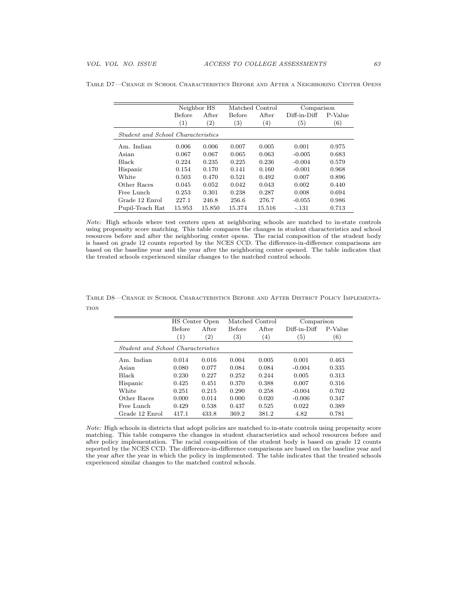|                                    | Neighbor HS      |                   | Matched Control   |                  | Comparison        |         |  |
|------------------------------------|------------------|-------------------|-------------------|------------------|-------------------|---------|--|
|                                    | <b>Before</b>    | After             | <b>Before</b>     | After            | Diff-in-Diff      | P-Value |  |
|                                    | $\left(1\right)$ | $\left( 2\right)$ | $\left( 3\right)$ | $\left(4\right)$ | $\left( 5\right)$ | (6)     |  |
| Student and School Characteristics |                  |                   |                   |                  |                   |         |  |
| Am. Indian                         | 0.006            | 0.006             | 0.007             | 0.005            | 0.001             | 0.975   |  |
| Asian                              | 0.067            | 0.067             | 0.065             | 0.063            | $-0.005$          | 0.683   |  |
| <b>Black</b>                       | 0.224            | 0.235             | 0.225             | 0.236            | $-0.004$          | 0.579   |  |
| Hispanic                           | 0.154            | 0.170             | 0.141             | 0.160            | $-0.001$          | 0.968   |  |
| White                              | 0.503            | 0.470             | 0.521             | 0.492            | 0.007             | 0.896   |  |
| Other Races                        | 0.045            | 0.052             | 0.042             | 0.043            | 0.002             | 0.440   |  |
| Free Lunch                         | 0.253            | 0.301             | 0.238             | 0.287            | 0.008             | 0.694   |  |
| Grade 12 Enrol                     | 227.1            | 246.8             | 256.6             | 276.7            | $-0.055$          | 0.986   |  |
| Pupil-Teach Rat                    | 15.953           | 15.850            | 15.374            | 15.516           | $-.131$           | 0.713   |  |

Table D7—Change in School Characteristics Before and After a Neighboring Center Opens

Note: High schools where test centers open at neighboring schools are matched to in-state controls using propensity score matching. This table compares the changes in student characteristics and school resources before and after the neighboring center opens. The racial composition of the student body is based on grade 12 counts reported by the NCES CCD. The difference-in-difference comparisons are based on the baseline year and the year after the neighboring center opened. The table indicates that the treated schools experienced similar changes to the matched control schools.

|                                           | HS Center Open |                   |                  | Matched Control | Comparison   |         |  |  |  |
|-------------------------------------------|----------------|-------------------|------------------|-----------------|--------------|---------|--|--|--|
|                                           | <b>Before</b>  | A fter            | Before           | <b>After</b>    | Diff-in-Diff | P-Value |  |  |  |
|                                           | (1)            | $\left( 2\right)$ | $\left(3\right)$ | (4)             | 5)           | (6)     |  |  |  |
| <i>Student and School Characteristics</i> |                |                   |                  |                 |              |         |  |  |  |
| Am. Indian                                | 0.014          | 0.016             | 0.004            | 0.005           | 0.001        | 0.463   |  |  |  |
| Asian                                     | 0.080          | 0.077             | 0.084            | 0.084           | $-0.004$     | 0.335   |  |  |  |
| <b>Black</b>                              | 0.230          | 0.227             | 0.252            | 0.244           | 0.005        | 0.313   |  |  |  |
| Hispanic                                  | 0.425          | 0.451             | 0.370            | 0.388           | 0.007        | 0.316   |  |  |  |
| White                                     | 0.251          | 0.215             | 0.290            | 0.258           | $-0.004$     | 0.702   |  |  |  |
| Other Races                               | 0.000          | 0.014             | 0.000            | 0.020           | $-0.006$     | 0.347   |  |  |  |
| Free Lunch                                | 0.429          | 0.538             | 0.437            | 0.525           | 0.022        | 0.389   |  |  |  |
| Grade 12 Enrol                            | 417.1          | 433.8             | 369.2            | 381.2           | 4.82         | 0.781   |  |  |  |

Table D8—Change in School Characteristics Before and After District Policy Implementa-**TION** 

Note: High schools in districts that adopt policies are matched to in-state controls using propensity score matching. This table compares the changes in student characteristics and school resources before and after policy implementation. The racial composition of the student body is based on grade 12 counts reported by the NCES CCD. The difference-in-difference comparisons are based on the baseline year and the year after the year in which the policy in implemented. The table indicates that the treated schools experienced similar changes to the matched control schools.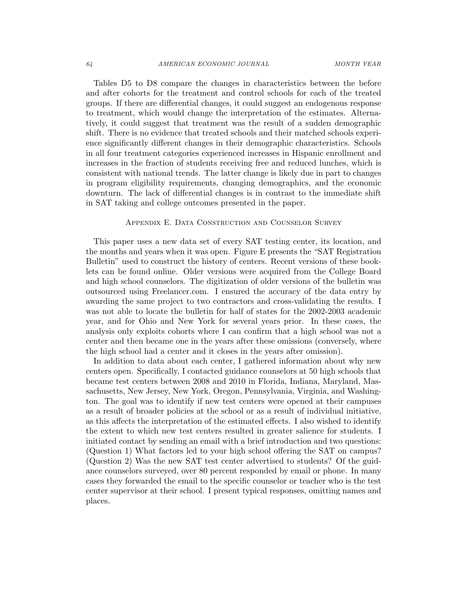Tables D5 to D8 compare the changes in characteristics between the before and after cohorts for the treatment and control schools for each of the treated groups. If there are differential changes, it could suggest an endogenous response to treatment, which would change the interpretation of the estimates. Alternatively, it could suggest that treatment was the result of a sudden demographic shift. There is no evidence that treated schools and their matched schools experience significantly different changes in their demographic characteristics. Schools in all four treatment categories experienced increases in Hispanic enrollment and increases in the fraction of students receiving free and reduced lunches, which is consistent with national trends. The latter change is likely due in part to changes in program eligibility requirements, changing demographics, and the economic downturn. The lack of differential changes is in contrast to the immediate shift in SAT taking and college outcomes presented in the paper.

### Appendix E. Data Construction and Counselor Survey

This paper uses a new data set of every SAT testing center, its location, and the months and years when it was open. Figure E presents the "SAT Registration Bulletin" used to construct the history of centers. Recent versions of these booklets can be found online. Older versions were acquired from the College Board and high school counselors. The digitization of older versions of the bulletin was outsourced using Freelancer.com. I ensured the accuracy of the data entry by awarding the same project to two contractors and cross-validating the results. I was not able to locate the bulletin for half of states for the 2002-2003 academic year, and for Ohio and New York for several years prior. In these cases, the analysis only exploits cohorts where I can confirm that a high school was not a center and then became one in the years after these omissions (conversely, where the high school had a center and it closes in the years after omission).

In addition to data about each center, I gathered information about why new centers open. Specifically, I contacted guidance counselors at 50 high schools that became test centers between 2008 and 2010 in Florida, Indiana, Maryland, Massachusetts, New Jersey, New York, Oregon, Pennsylvania, Virginia, and Washington. The goal was to identify if new test centers were opened at their campuses as a result of broader policies at the school or as a result of individual initiative, as this affects the interpretation of the estimated effects. I also wished to identify the extent to which new test centers resulted in greater salience for students. I initiated contact by sending an email with a brief introduction and two questions: (Question 1) What factors led to your high school offering the SAT on campus? (Question 2) Was the new SAT test center advertised to students? Of the guidance counselors surveyed, over 80 percent responded by email or phone. In many cases they forwarded the email to the specific counselor or teacher who is the test center supervisor at their school. I present typical responses, omitting names and places.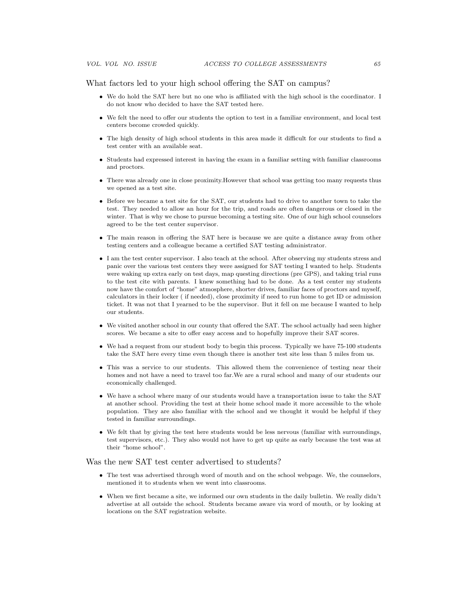What factors led to your high school offering the SAT on campus?

- We do hold the SAT here but no one who is affiliated with the high school is the coordinator. I do not know who decided to have the SAT tested here.
- We felt the need to offer our students the option to test in a familiar environment, and local test centers become crowded quickly.
- The high density of high school students in this area made it difficult for our students to find a test center with an available seat.
- Students had expressed interest in having the exam in a familiar setting with familiar classrooms and proctors.
- There was already one in close proximity.However that school was getting too many requests thus we opened as a test site.
- Before we became a test site for the SAT, our students had to drive to another town to take the test. They needed to allow an hour for the trip, and roads are often dangerous or closed in the winter. That is why we chose to pursue becoming a testing site. One of our high school counselors agreed to be the test center supervisor.
- The main reason in offering the SAT here is because we are quite a distance away from other testing centers and a colleague became a certified SAT testing administrator.
- I am the test center supervisor. I also teach at the school. After observing my students stress and panic over the various test centers they were assigned for SAT testing I wanted to help. Students were waking up extra early on test days, map questing directions (pre GPS), and taking trial runs to the test cite with parents. I knew something had to be done. As a test center my students now have the comfort of "home" atmosphere, shorter drives, familiar faces of proctors and myself, calculators in their locker ( if needed), close proximity if need to run home to get ID or admission ticket. It was not that I yearned to be the supervisor. But it fell on me because I wanted to help our students.
- We visited another school in our county that offered the SAT. The school actually had seen higher scores. We became a site to offer easy access and to hopefully improve their SAT scores.
- We had a request from our student body to begin this process. Typically we have 75-100 students take the SAT here every time even though there is another test site less than 5 miles from us.
- This was a service to our students. This allowed them the convenience of testing near their homes and not have a need to travel too far.We are a rural school and many of our students our economically challenged.
- We have a school where many of our students would have a transportation issue to take the SAT at another school. Providing the test at their home school made it more accessible to the whole population. They are also familiar with the school and we thought it would be helpful if they tested in familiar surroundings.
- We felt that by giving the test here students would be less nervous (familiar with surroundings, test supervisors, etc.). They also would not have to get up quite as early because the test was at their "home school".

Was the new SAT test center advertised to students?

- The test was advertised through word of mouth and on the school webpage. We, the counselors, mentioned it to students when we went into classrooms.
- When we first became a site, we informed our own students in the daily bulletin. We really didn't advertise at all outside the school. Students became aware via word of mouth, or by looking at locations on the SAT registration website.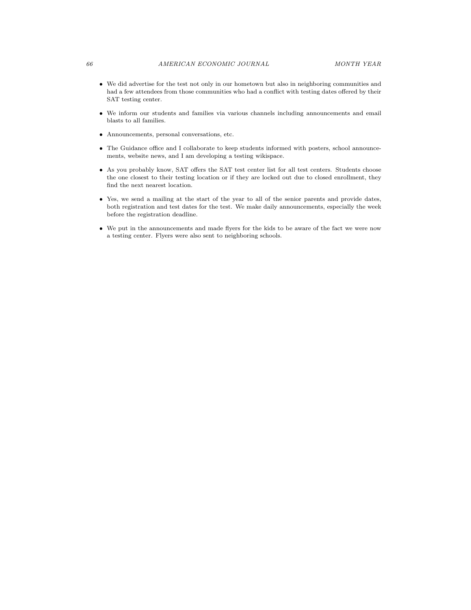- We did advertise for the test not only in our hometown but also in neighboring communities and had a few attendees from those communities who had a conflict with testing dates offered by their SAT testing center.
- We inform our students and families via various channels including announcements and email blasts to all families.
- Announcements, personal conversations, etc.
- The Guidance office and I collaborate to keep students informed with posters, school announcements, website news, and I am developing a testing wikispace.
- As you probably know, SAT offers the SAT test center list for all test centers. Students choose the one closest to their testing location or if they are locked out due to closed enrollment, they find the next nearest location.
- Yes, we send a mailing at the start of the year to all of the senior parents and provide dates, both registration and test dates for the test. We make daily announcements, especially the week before the registration deadline.
- We put in the announcements and made flyers for the kids to be aware of the fact we were now a testing center. Flyers were also sent to neighboring schools.